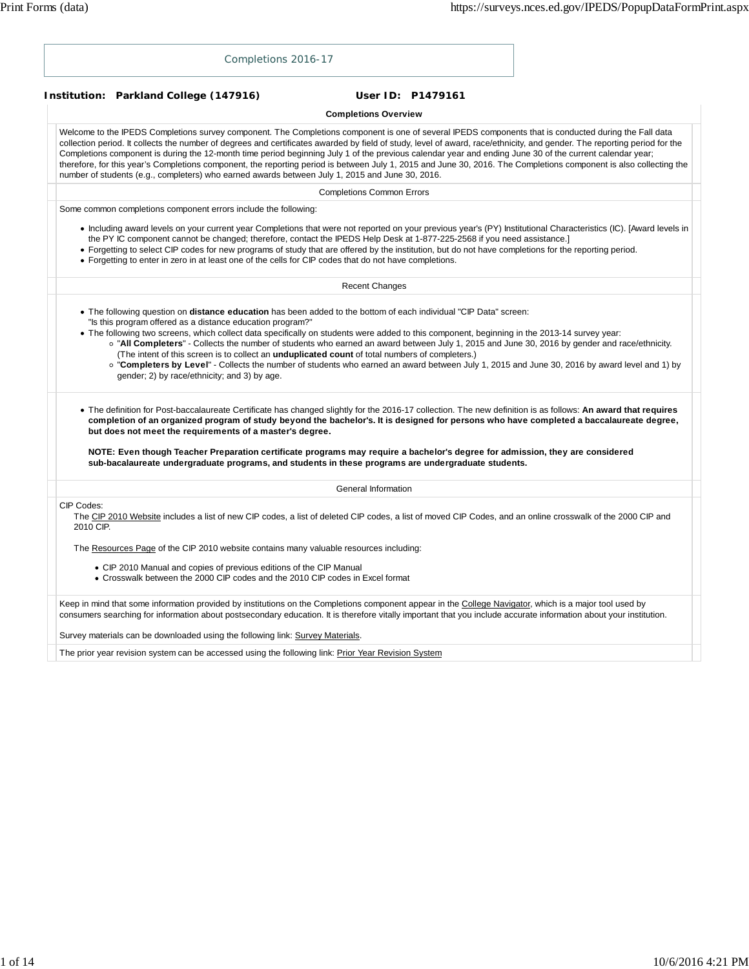| Completions 2016-17                                                                                                                                                                                                                                                                                                                                                                                                                                                                                                                                                                                                                                                                                                                                                                         |
|---------------------------------------------------------------------------------------------------------------------------------------------------------------------------------------------------------------------------------------------------------------------------------------------------------------------------------------------------------------------------------------------------------------------------------------------------------------------------------------------------------------------------------------------------------------------------------------------------------------------------------------------------------------------------------------------------------------------------------------------------------------------------------------------|
| Institution: Parkland College (147916)<br>User ID: P1479161                                                                                                                                                                                                                                                                                                                                                                                                                                                                                                                                                                                                                                                                                                                                 |
| <b>Completions Overview</b>                                                                                                                                                                                                                                                                                                                                                                                                                                                                                                                                                                                                                                                                                                                                                                 |
| Welcome to the IPEDS Completions survey component. The Completions component is one of several IPEDS components that is conducted during the Fall data<br>collection period. It collects the number of degrees and certificates awarded by field of study, level of award, race/ethnicity, and gender. The reporting period for the<br>Completions component is during the 12-month time period beginning July 1 of the previous calendar year and ending June 30 of the current calendar year;<br>therefore, for this year's Completions component, the reporting period is between July 1, 2015 and June 30, 2016. The Completions component is also collecting the<br>number of students (e.g., completers) who earned awards between July 1, 2015 and June 30, 2016.                    |
| <b>Completions Common Errors</b>                                                                                                                                                                                                                                                                                                                                                                                                                                                                                                                                                                                                                                                                                                                                                            |
| Some common completions component errors include the following:                                                                                                                                                                                                                                                                                                                                                                                                                                                                                                                                                                                                                                                                                                                             |
| • Including award levels on your current year Completions that were not reported on your previous year's (PY) Institutional Characteristics (IC). [Award levels in<br>the PY IC component cannot be changed; therefore, contact the IPEDS Help Desk at 1-877-225-2568 if you need assistance.]<br>• Forgetting to select CIP codes for new programs of study that are offered by the institution, but do not have completions for the reporting period.<br>• Forgetting to enter in zero in at least one of the cells for CIP codes that do not have completions.                                                                                                                                                                                                                           |
| <b>Recent Changes</b>                                                                                                                                                                                                                                                                                                                                                                                                                                                                                                                                                                                                                                                                                                                                                                       |
| . The following question on distance education has been added to the bottom of each individual "CIP Data" screen:<br>"Is this program offered as a distance education program?"<br>. The following two screens, which collect data specifically on students were added to this component, beginning in the 2013-14 survey year:<br>o "All Completers" - Collects the number of students who earned an award between July 1, 2015 and June 30, 2016 by gender and race/ethnicity.<br>(The intent of this screen is to collect an <i>unduplicated count</i> of total numbers of completers.)<br>o "Completers by Level" - Collects the number of students who earned an award between July 1, 2015 and June 30, 2016 by award level and 1) by<br>gender; 2) by race/ethnicity; and 3) by age. |
| • The definition for Post-baccalaureate Certificate has changed slightly for the 2016-17 collection. The new definition is as follows: An award that requires<br>completion of an organized program of study beyond the bachelor's. It is designed for persons who have completed a baccalaureate degree,<br>but does not meet the requirements of a master's degree.                                                                                                                                                                                                                                                                                                                                                                                                                       |
| NOTE: Even though Teacher Preparation certificate programs may require a bachelor's degree for admission, they are considered<br>sub-bacalaureate undergraduate programs, and students in these programs are undergraduate students.                                                                                                                                                                                                                                                                                                                                                                                                                                                                                                                                                        |
| General Information                                                                                                                                                                                                                                                                                                                                                                                                                                                                                                                                                                                                                                                                                                                                                                         |
| CIP Codes:<br>The CIP 2010 Website includes a list of new CIP codes, a list of deleted CIP codes, a list of moved CIP Codes, and an online crosswalk of the 2000 CIP and<br>2010 CIP.                                                                                                                                                                                                                                                                                                                                                                                                                                                                                                                                                                                                       |
| The Resources Page of the CIP 2010 website contains many valuable resources including:                                                                                                                                                                                                                                                                                                                                                                                                                                                                                                                                                                                                                                                                                                      |
| • CIP 2010 Manual and copies of previous editions of the CIP Manual<br>• Crosswalk between the 2000 CIP codes and the 2010 CIP codes in Excel format                                                                                                                                                                                                                                                                                                                                                                                                                                                                                                                                                                                                                                        |
| Keep in mind that some information provided by institutions on the Completions component appear in the College Navigator, which is a major tool used by<br>consumers searching for information about postsecondary education. It is therefore vitally important that you include accurate information about your institution.                                                                                                                                                                                                                                                                                                                                                                                                                                                               |
| Survey materials can be downloaded using the following link: Survey Materials.                                                                                                                                                                                                                                                                                                                                                                                                                                                                                                                                                                                                                                                                                                              |
| The prior year revision system can be accessed using the following link: Prior Year Revision System                                                                                                                                                                                                                                                                                                                                                                                                                                                                                                                                                                                                                                                                                         |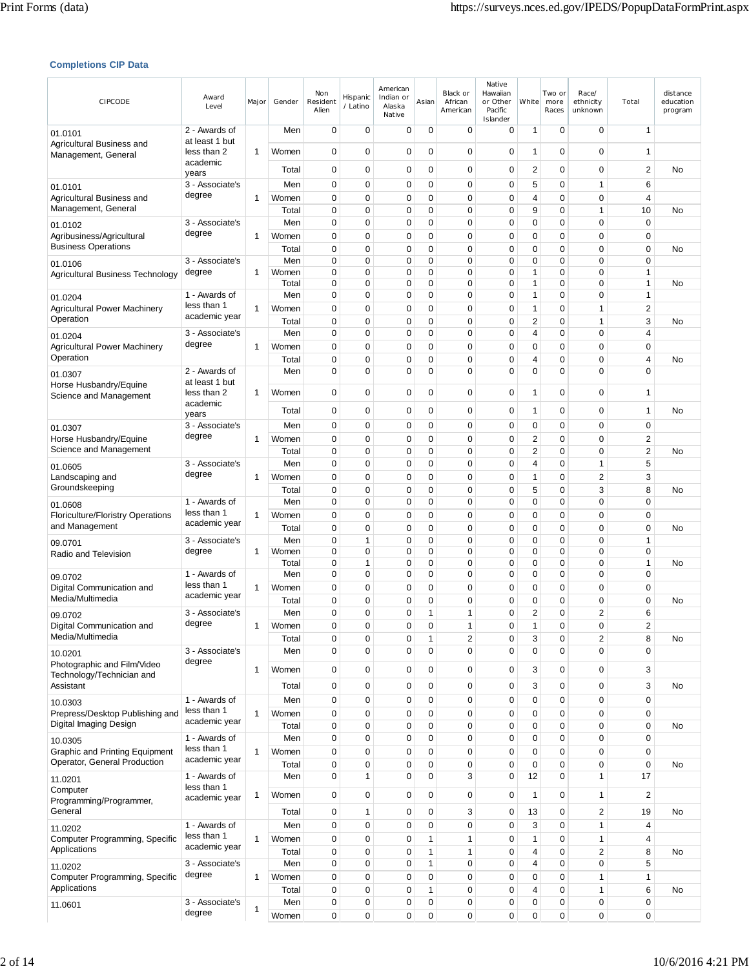### **Completions CIP Data**

| CIPCODE                                                    | Award<br>Level                | Major | Gender         | Non<br>Resident<br>Alien   | Hispanic<br>/ Latino        | American<br>Indian or<br>Alaska<br>Native | Asian    | Black or<br>African<br>American | Native<br>Hawaiian<br>or Other<br>Pacific<br>Islander | White          | Two or<br>more<br>Races | Race/<br>ethnicity<br>unknown          | Total                      | distance<br>education<br>program |
|------------------------------------------------------------|-------------------------------|-------|----------------|----------------------------|-----------------------------|-------------------------------------------|----------|---------------------------------|-------------------------------------------------------|----------------|-------------------------|----------------------------------------|----------------------------|----------------------------------|
| 01.0101                                                    | 2 - Awards of                 |       | Men            | 0                          | 0                           | 0                                         | 0        | 0                               | 0                                                     | 1              | 0                       | $\mathbf 0$                            | $\mathbf{1}$               |                                  |
| Agricultural Business and<br>Management, General           | at least 1 but<br>less than 2 | 1     | Women          | $\mathbf 0$                | $\mathbf 0$                 | 0                                         | 0        | 0                               | $\mathbf 0$                                           | 1              | 0                       | $\mathbf 0$                            | 1                          |                                  |
|                                                            | academic<br>years             |       | Total          | 0                          | 0                           | 0                                         | 0        | 0                               | 0                                                     | 2              | 0                       | $\mathbf 0$                            | 2                          | No                               |
| 01.0101                                                    | 3 - Associate's               |       | Men            | $\mathbf 0$                | $\mathbf 0$                 | 0                                         | 0        | $\mathbf 0$                     | 0                                                     | 5              | 0                       | $\mathbf{1}$                           | 6                          |                                  |
| Agricultural Business and                                  | degree                        | 1     | Women          | 0                          | $\mathbf 0$                 | 0                                         | 0        | $\mathbf 0$                     | 0                                                     | 4              | 0                       | $\mathbf 0$                            | 4                          |                                  |
| Management, General                                        | 3 - Associate's               |       | Total<br>Men   | $\mathbf 0$<br>$\mathbf 0$ | $\mathbf 0$<br>$\mathbf 0$  | 0<br>0                                    | 0<br>0   | $\mathbf 0$<br>0                | $\mathbf 0$<br>0                                      | 9<br>0         | $\mathbf 0$<br>0        | $\mathbf{1}$<br>$\mathbf 0$            | 10<br>$\mathbf 0$          | No                               |
| 01.0102<br>Agribusiness/Agricultural                       | degree                        | 1     | Women          | $\mathbf 0$                | $\mathbf 0$                 | 0                                         | 0        | $\mathbf 0$                     | 0                                                     | 0              | 0                       | $\mathbf 0$                            | $\mathbf 0$                |                                  |
| <b>Business Operations</b>                                 |                               |       | Total          | $\mathbf 0$                | $\mathbf 0$                 | 0                                         | 0        | 0                               | 0                                                     | 0              | 0                       | $\mathbf 0$                            | $\mathbf 0$                | No                               |
| 01.0106                                                    | 3 - Associate's               |       | Men            | $\mathbf 0$                | $\mathbf 0$                 | 0                                         | 0        | $\mathbf 0$                     | 0                                                     | 0              | 0                       | $\mathbf 0$                            | $\mathbf 0$                |                                  |
| Agricultural Business Technology                           | degree                        | 1     | Women<br>Total | 0<br>$\mathbf 0$           | $\mathbf 0$<br>0            | 0<br>0                                    | 0<br>0   | 0<br>0                          | 0<br>0                                                | 1<br>1         | 0<br>0                  | $\mathbf 0$<br>$\mathbf 0$             | 1<br>1                     | No                               |
| 01.0204                                                    | 1 - Awards of                 |       | Men            | 0                          | 0                           | 0                                         | 0        | 0                               | 0                                                     | 1              | 0                       | $\mathbf 0$                            | $\mathbf{1}$               |                                  |
| <b>Agricultural Power Machinery</b>                        | less than 1                   | 1     | Women          | 0                          | 0                           | 0                                         | 0        | 0                               | 0                                                     | 1              | 0                       | $\mathbf{1}$                           | 2                          |                                  |
| Operation                                                  | academic year                 |       | Total          | $\mathbf 0$                | $\mathbf 0$                 | 0                                         | 0        | 0                               | 0                                                     | 2              | 0                       | $\mathbf{1}$                           | 3                          | No                               |
| 01.0204                                                    | 3 - Associate's<br>degree     |       | Men            | $\mathbf 0$                | 0                           | 0                                         | 0        | 0                               | 0                                                     | 4              | 0                       | $\mathbf 0$                            | 4                          |                                  |
| <b>Agricultural Power Machinery</b><br>Operation           |                               | 1     | Women<br>Total | $\mathbf 0$<br>$\mathbf 0$ | $\mathbf 0$<br>$\mathbf 0$  | 0<br>0                                    | 0<br>0   | 0<br>0                          | 0<br>0                                                | 0<br>4         | 0<br>0                  | $\mathbf 0$<br>$\mathbf 0$             | $\mathbf 0$<br>4           | No                               |
| 01.0307                                                    | 2 - Awards of                 |       | Men            | $\mathbf 0$                | $\mathbf 0$                 | 0                                         | $\Omega$ | 0                               | 0                                                     | $\Omega$       | $\overline{0}$          | $\mathbf 0$                            | $\Omega$                   |                                  |
| Horse Husbandry/Equine                                     | at least 1 but                |       |                |                            |                             |                                           |          |                                 |                                                       |                |                         | $\mathbf 0$                            |                            |                                  |
| Science and Management                                     | less than 2<br>academic       | 1     | Women          | $\mathbf 0$                | $\mathbf 0$                 | 0                                         | 0        | 0                               | 0                                                     | 1              | 0                       |                                        | 1                          |                                  |
|                                                            | years                         |       | Total          | 0                          | $\mathbf 0$                 | 0                                         | 0        | 0                               | 0                                                     | 1              | 0                       | $\mathbf 0$                            | 1                          | No                               |
| 01.0307                                                    | 3 - Associate's<br>degree     |       | Men            | 0                          | 0                           | 0                                         | 0        | 0                               | 0                                                     | 0              | 0                       | 0                                      | 0                          |                                  |
| Horse Husbandry/Equine<br>Science and Management           |                               | 1     | Women<br>Total | $\mathbf 0$<br>$\mathbf 0$ | $\mathbf 0$<br>$\mathbf 0$  | 0<br>0                                    | 0<br>0   | 0<br>0                          | 0<br>0                                                | 2<br>2         | 0<br>0                  | $\mathbf 0$<br>$\mathbf 0$             | 2<br>$\overline{c}$        | No                               |
| 01.0605                                                    | 3 - Associate's               |       | Men            | $\mathbf 0$                | 0                           | 0                                         | 0        | 0                               | 0                                                     | 4              | 0                       | $\mathbf{1}$                           | 5                          |                                  |
| Landscaping and                                            | degree                        | 1     | Women          | 0                          | 0                           | 0                                         | 0        | 0                               | 0                                                     | 1              | 0                       | $\overline{2}$                         | 3                          |                                  |
| Groundskeeping                                             |                               |       | Total          | $\mathbf 0$                | $\mathbf 0$                 | 0                                         | 0        | 0                               | 0                                                     | 5              | 0                       | 3                                      | 8                          | No                               |
| 01.0608                                                    | 1 - Awards of<br>less than 1  |       | Men            | $\mathbf 0$                | 0                           | 0                                         | 0        | 0                               | 0                                                     | 0              | 0                       | $\mathbf 0$                            | $\mathbf 0$                |                                  |
| <b>Floriculture/Floristry Operations</b><br>and Management | academic year                 | 1     | Women<br>Total | 0<br>0                     | 0<br>$\mathbf 0$            | 0<br>0                                    | 0<br>0   | 0<br>$\mathbf 0$                | 0<br>0                                                | 0<br>0         | 0<br>0                  | 0<br>$\mathbf 0$                       | $\mathbf 0$<br>$\mathbf 0$ | No                               |
| 09.0701                                                    | 3 - Associate's               |       | Men            | $\mathbf 0$                | 1                           | 0                                         | 0        | $\mathbf 0$                     | 0                                                     | 0              | 0                       | $\mathbf 0$                            | $\mathbf{1}$               |                                  |
| Radio and Television                                       | degree                        | 1     | Women          | 0                          | 0                           | 0                                         | 0        | $\mathbf 0$                     | 0                                                     | 0              | 0                       | $\mathbf 0$                            | $\mathbf 0$                |                                  |
|                                                            | 1 - Awards of                 |       | Total<br>Men   | $\mathbf 0$<br>0           | $\mathbf{1}$<br>$\mathbf 0$ | 0<br>0                                    | 0<br>0   | 0<br>0                          | 0<br>0                                                | 0<br>0         | 0<br>0                  | $\mathbf 0$<br>$\mathbf 0$             | 1<br>$\mathbf 0$           | No                               |
| 09.0702<br>Digital Communication and                       | less than 1                   | 1     | Women          | 0                          | $\mathbf 0$                 | 0                                         | 0        | $\mathbf 0$                     | 0                                                     | 0              | 0                       | 0                                      | 0                          |                                  |
| Media/Multimedia                                           | academic year                 |       | Total          | $\mathbf 0$                | $\mathbf 0$                 | $\mathbf 0$                               | 0        | $\mathbf 0$                     | 0                                                     | 0              | 0                       | $\mathbf 0$                            | $\mathbf 0$                | No                               |
| 09.0702                                                    | 3 - Associate's               |       | Men            | 0                          | $\mathbf 0$                 | 0                                         | 1        | 1                               | 0                                                     | $\overline{c}$ | 0                       | 2                                      | 6                          |                                  |
| Digital Communication and<br>Media/Multimedia              | degree                        | 1     | Women          | $\Omega$                   | $\Omega$                    | $\Omega$                                  | $\Omega$ | 1                               | $\Omega$                                              | 1              | 0                       | $\Omega$                               | $\mathfrak{p}$             |                                  |
|                                                            | 3 - Associate's               |       | Total<br>Men   | $\mathbf 0$<br>$\mathbf 0$ | 0<br>0                      | 0<br>0                                    | 1<br>0   | 2<br>0                          | 0<br>0                                                | 3<br>0         | 0<br>0                  | $\overline{\mathbf{c}}$<br>$\mathbf 0$ | 8<br>0                     | No                               |
| 10.0201<br>Photographic and Film/Video                     | degree                        |       |                |                            |                             |                                           |          |                                 |                                                       |                |                         |                                        |                            |                                  |
| Technology/Technician and                                  |                               | 1     | Women          | $\mathbf 0$                | 0                           | 0                                         | 0        | 0                               | 0                                                     | 3              | 0                       | $\mathbf 0$                            | 3                          |                                  |
| Assistant                                                  |                               |       | Total          | $\mathbf 0$                | 0                           | 0                                         | 0        | 0                               | $\mathbf 0$                                           | 3              | 0                       | $\mathbf 0$                            | 3                          | No                               |
| 10.0303<br>Prepress/Desktop Publishing and                 | 1 - Awards of<br>less than 1  | 1     | Men<br>Women   | $\mathbf 0$<br>0           | $\mathbf 0$<br>0            | 0<br>0                                    | 0<br>0   | 0<br>$\mathbf 0$                | 0<br>0                                                | 0<br>0         | 0<br>0                  | $\mathbf 0$<br>$\mathbf 0$             | $\mathbf 0$<br>0           |                                  |
| Digital Imaging Design                                     | academic year                 |       | Total          | $\mathbf 0$                | 0                           | 0                                         | 0        | 0                               | 0                                                     | 0              | 0                       | $\mathbf 0$                            | $\mathbf 0$                | No                               |
| 10.0305                                                    | 1 - Awards of                 |       | Men            | $\mathbf 0$                | 0                           | 0                                         | 0        | $\mathbf 0$                     | 0                                                     | 0              | 0                       | $\mathbf 0$                            | $\mathbf 0$                |                                  |
| Graphic and Printing Equipment                             | less than 1<br>academic year  | 1     | Women          | $\mathbf 0$                | 0                           | 0                                         | 0        | 0                               | 0                                                     | 0              | 0                       | $\mathbf 0$                            | $\mathbf 0$                |                                  |
| Operator, General Production                               | 1 - Awards of                 |       | Total<br>Men   | 0<br>$\mathbf 0$           | 0<br>1                      | 0<br>0                                    | 0<br>0   | 0<br>3                          | 0<br>0                                                | 0<br>12        | 0<br>0                  | $\mathbf 0$<br>$\mathbf{1}$            | $\mathbf 0$                | No                               |
| 11.0201<br>Computer                                        | less than 1                   |       |                |                            |                             |                                           |          |                                 |                                                       |                |                         |                                        | 17                         |                                  |
| Programming/Programmer,                                    | academic year                 | 1     | Women          | $\pmb{0}$                  | $\pmb{0}$                   | 0                                         | 0        | 0                               | 0                                                     | 1              | 0                       | 1                                      | $\overline{c}$             |                                  |
| General                                                    |                               |       | Total          | $\pmb{0}$                  | 1                           | 0                                         | 0        | 3                               | 0                                                     | 13             | 0                       | $\overline{2}$                         | 19                         | No                               |
| 11.0202                                                    | 1 - Awards of<br>less than 1  |       | Men            | $\mathbf 0$                | $\mathbf 0$                 | 0                                         | 0        | 0                               | 0                                                     | 3              | 0                       | $\mathbf{1}$                           | 4                          |                                  |
| Computer Programming, Specific<br>Applications             | academic year                 | 1     | Women<br>Total | $\mathbf 0$<br>$\mathbf 0$ | $\mathbf 0$<br>$\mathbf 0$  | 0<br>0                                    | 1<br>1   | 1<br>$\mathbf{1}$               | 0<br>0                                                | 1<br>4         | 0<br>0                  | $\mathbf{1}$<br>$\overline{2}$         | 4<br>8                     | No                               |
| 11.0202                                                    | 3 - Associate's               |       | Men            | $\pmb{0}$                  | 0                           | 0                                         | 1        | 0                               | 0                                                     | 4              | 0                       | $\mathbf 0$                            | 5                          |                                  |
| Computer Programming, Specific                             | degree                        | 1     | Women          | $\mathbf 0$                | 0                           | 0                                         | 0        | 0                               | 0                                                     | 0              | 0                       | $\mathbf{1}$                           | 1                          |                                  |
| Applications                                               |                               |       | Total          | $\mathbf 0$                | 0                           | 0                                         | 1        | 0                               | 0                                                     | 4              | 0                       | $\mathbf{1}$                           | 6                          | No                               |
| 11.0601                                                    | 3 - Associate's<br>degree     | 1     | Men<br>Women   | $\pmb{0}$<br>0             | 0<br>0                      | 0<br>0                                    | 0<br>0   | 0<br>0                          | 0<br>0                                                | 0<br>0         | 0<br>0                  | $\pmb{0}$<br>$\pmb{0}$                 | $\mathbf 0$<br>0           |                                  |
|                                                            |                               |       |                |                            |                             |                                           |          |                                 |                                                       |                |                         |                                        |                            |                                  |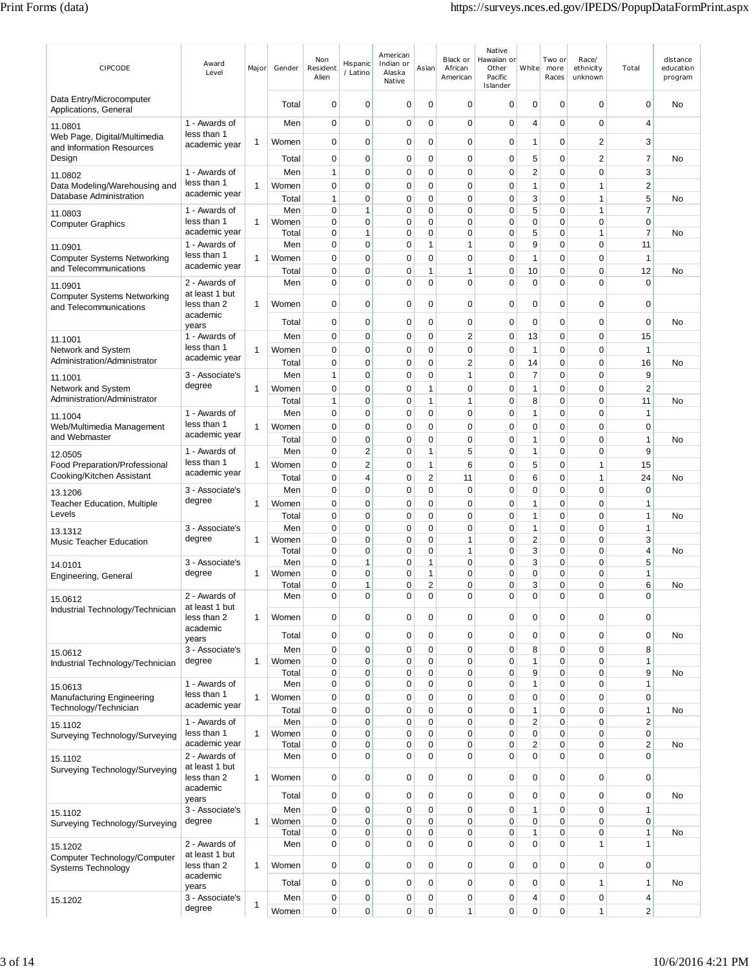| CIPCODE                                                      | Award<br>Level                | Major        | Gender         | Non<br>Resident<br>Alien    | Hispanic<br>/ Latino       | American<br>Indian or<br>Alaska<br>Native | Asian                      | Black or<br>African<br>American | Native<br>Hawaiian or<br>Other<br>Pacific<br>Islander | White                      | Two or<br>more<br>Races | Race/<br>ethnicity<br>unknown | Total               | distance<br>education<br>program |
|--------------------------------------------------------------|-------------------------------|--------------|----------------|-----------------------------|----------------------------|-------------------------------------------|----------------------------|---------------------------------|-------------------------------------------------------|----------------------------|-------------------------|-------------------------------|---------------------|----------------------------------|
| Data Entry/Microcomputer<br>Applications, General            |                               |              | Total          | $\mathbf 0$                 | 0                          | $\mathbf 0$                               | $\mathbf 0$                | $\mathbf 0$                     | 0                                                     | 0                          | 0                       | 0                             | $\mathbf 0$         | No                               |
| 11.0801                                                      | 1 - Awards of<br>less than 1  |              | Men            | $\mathbf 0$                 | 0                          | 0                                         | $\mathbf 0$                | 0                               | 0                                                     | 4                          | 0                       | 0                             | 4                   |                                  |
| Web Page, Digital/Multimedia<br>and Information Resources    | academic year                 | 1            | Women          | $\mathbf 0$                 | $\mathbf 0$                | 0                                         | 0                          | 0                               | 0                                                     | $\mathbf{1}$               | 0                       | $\overline{2}$                | 3                   |                                  |
| Design                                                       |                               |              | Total          | 0                           | 0                          | 0                                         | 0                          | 0                               | 0                                                     | 5                          | 0                       | 2                             | 7                   | No                               |
| 11.0802                                                      | 1 - Awards of                 |              | Men            | $\mathbf{1}$                | $\mathbf 0$                | 0                                         | 0                          | 0                               | 0                                                     | $\mathbf 2$                | 0                       | 0                             | 3                   |                                  |
| Data Modeling/Warehousing and<br>Database Administration     | less than 1<br>academic year  | 1            | Women          | 0                           | 0                          | 0                                         | 0                          | 0                               | 0                                                     | 1                          | 0                       | 1                             | $\overline{2}$      |                                  |
|                                                              | 1 - Awards of                 |              | Total<br>Men   | $\mathbf{1}$<br>$\mathbf 0$ | 0<br>1                     | 0<br>$\mathbf 0$                          | 0<br>0                     | 0<br>$\mathbf 0$                | 0<br>0                                                | 3<br>5                     | 0<br>$\overline{0}$     | 1<br>1                        | 5<br>$\overline{7}$ | No                               |
| 11.0803<br><b>Computer Graphics</b>                          | less than 1                   | $\mathbf{1}$ | Women          | $\mathbf 0$                 | 0                          | 0                                         | 0                          | 0                               | 0                                                     | 0                          | 0                       | $\Omega$                      | $\mathbf 0$         |                                  |
|                                                              | academic year                 |              | Total          | $\mathbf 0$                 | 1                          | 0                                         | 0                          | 0                               | 0                                                     | 5                          | 0                       | $\mathbf{1}$                  | $\overline{7}$      | No                               |
| 11.0901                                                      | 1 - Awards of<br>less than 1  | $\mathbf{1}$ | Men            | 0<br>$\mathbf 0$            | 0<br>0                     | 0                                         | 1<br>0                     | 1<br>0                          | 0<br>0                                                | 9<br>$\mathbf{1}$          | 0<br>0                  | 0<br>0                        | 11<br>$\mathbf{1}$  |                                  |
| <b>Computer Systems Networking</b><br>and Telecommunications | academic year                 |              | Women<br>Total | $\mathbf 0$                 | $\mathbf 0$                | 0<br>0                                    | 1                          | 1                               | 0                                                     | 10                         | 0                       | 0                             | 12                  | No                               |
| 11.0901                                                      | 2 - Awards of                 |              | Men            | $\mathbf 0$                 | 0                          | $\mathbf 0$                               | 0                          | $\mathbf 0$                     | $\Omega$                                              | $\mathbf 0$                | $\overline{0}$          | $\overline{0}$                | $\Omega$            |                                  |
| <b>Computer Systems Networking</b>                           | at least 1 but                |              |                |                             |                            |                                           |                            |                                 |                                                       |                            |                         |                               |                     |                                  |
| and Telecommunications                                       | less than 2<br>academic       | 1            | Women          | $\mathbf 0$                 | $\mathbf 0$                | 0                                         | 0                          | 0                               | 0                                                     | $\mathbf 0$                | 0                       | $\mathbf 0$                   | $\mathbf 0$         |                                  |
|                                                              | years                         |              | Total          | $\mathbf 0$                 | $\mathbf 0$                | 0                                         | 0                          | 0                               | 0                                                     | $\mathbf 0$                | 0                       | 0                             | 0                   | No                               |
| 11.1001                                                      | 1 - Awards of                 |              | Men            | $\mathbf 0$                 | $\mathbf 0$                | 0                                         | $\mathbf 0$                | $\overline{c}$                  | 0                                                     | 13                         | 0                       | 0                             | 15                  |                                  |
| Network and System<br>Administration/Administrator           | less than 1<br>academic year  | $\mathbf{1}$ | Women          | $\mathbf 0$                 | 0                          | $\mathbf 0$                               | 0                          | 0                               | $\mathbf 0$                                           | $\mathbf{1}$               | 0                       | 0                             | 1                   |                                  |
|                                                              | 3 - Associate's               |              | Total<br>Men   | 0<br>$\mathbf{1}$           | $\mathbf 0$<br>$\mathbf 0$ | 0<br>0                                    | 0<br>$\mathbf 0$           | $\overline{2}$<br>1             | 0<br>0                                                | 14<br>7                    | 0<br>$\mathbf 0$        | 0<br>0                        | 16<br>9             | No                               |
| 11.1001<br>Network and System                                | degree                        | $\mathbf{1}$ | Women          | $\mathbf 0$                 | $\mathbf 0$                | 0                                         | 1                          | 0                               | 0                                                     | $\mathbf{1}$               | 0                       | 0                             | $\overline{2}$      |                                  |
| Administration/Administrator                                 |                               |              | Total          | $\mathbf{1}$                | 0                          | 0                                         | $\mathbf{1}$               | $\mathbf{1}$                    | $\mathbf 0$                                           | 8                          | 0                       | 0                             | 11                  | No                               |
| 11.1004                                                      | 1 - Awards of                 |              | Men            | 0                           | 0                          | 0                                         | $\mathbf 0$                | 0                               | 0                                                     | $\mathbf{1}$               | 0                       | 0                             | $\mathbf{1}$        |                                  |
| Web/Multimedia Management                                    | less than 1                   | 1            | Women          | $\mathbf 0$                 | $\mathbf 0$                | 0                                         | 0                          | 0                               | 0                                                     | 0                          | 0                       | 0                             | $\mathbf 0$         |                                  |
| and Webmaster                                                | academic year                 |              | Total          | $\mathbf 0$                 | 0                          | 0                                         | 0                          | 0                               | 0                                                     | $\mathbf{1}$               | 0                       | 0                             | 1                   | No                               |
| 12.0505                                                      | 1 - Awards of<br>less than 1  |              | Men            | $\mathbf 0$                 | $\overline{\mathbf{c}}$    | 0                                         | $\mathbf{1}$               | 5                               | 0                                                     | $\mathbf{1}$               | 0                       | $\overline{0}$                | 9                   |                                  |
| Food Preparation/Professional<br>Cooking/Kitchen Assistant   | academic year                 | 1            | Women<br>Total | 0<br>$\mathbf 0$            | 2<br>4                     | 0<br>0                                    | 1<br>$\overline{c}$        | 6<br>11                         | 0<br>0                                                | 5<br>6                     | 0<br>0                  | 1<br>1                        | 15<br>24            | No                               |
|                                                              | 3 - Associate's               |              | Men            | $\mathbf 0$                 | 0                          | 0                                         | $\mathbf 0$                | 0                               | $\mathbf 0$                                           | 0                          | $\mathbf 0$             | $\overline{0}$                | $\mathbf 0$         |                                  |
| 13.1206<br><b>Teacher Education, Multiple</b>                | degree                        | $\mathbf{1}$ | Women          | 0                           | $\mathbf 0$                | 0                                         | 0                          | 0                               | 0                                                     | $\mathbf{1}$               | 0                       | 0                             | $\mathbf{1}$        |                                  |
| Levels                                                       |                               |              | Total          | 0                           | 0                          | 0                                         | 0                          | 0                               | 0                                                     | 1                          | 0                       | 0                             | 1                   | No                               |
| 13.1312                                                      | 3 - Associate's               |              | Men            | $\mathbf 0$                 | $\mathbf 0$                | 0                                         | 0                          | $\mathbf 0$                     | 0                                                     | $\mathbf{1}$               | 0                       | 0                             | 1                   |                                  |
| <b>Music Teacher Education</b>                               | degree                        | 1            | Women<br>Total | $\mathbf 0$<br>$\mathbf 0$  | 0<br>0                     | 0<br>0                                    | $\mathbf 0$<br>$\mathbf 0$ | $\mathbf{1}$<br>1               | $\mathbf 0$<br>0                                      | $\mathbf 2$<br>3           | 0<br>0                  | 0<br>0                        | 3<br>4              | No                               |
| 14.0101                                                      | 3 - Associate's               |              | Men            | 0                           | 1                          | 0                                         | 1                          | 0                               | 0                                                     | 3                          | $\mathbf 0$             | 0                             | 5                   |                                  |
| Engineering, General                                         | degree                        | 1            | Women          | $\mathbf 0$                 | 0                          | 0                                         | 1                          | 0                               | 0                                                     | 0                          | 0                       | 0                             | 1                   |                                  |
|                                                              | 2 - Awards of                 |              | Total<br>Men   | $\mathbf 0$<br>$\mathbf 0$  | 1<br>0                     | $\mathbf 0$<br>0                          | $\overline{2}$<br>0        | $\mathbf 0$<br>0                | 0<br>0                                                | 3<br>0                     | $\mathbf 0$<br>0        | 0<br>0                        | 6<br>0              | No                               |
| 15.0612<br>Industrial Technology/Technician                  | at least 1 but                |              |                |                             |                            |                                           |                            |                                 |                                                       |                            |                         |                               |                     |                                  |
|                                                              | less than 2                   | $\mathbf{1}$ | Women          | 0                           | $\mathbf 0$                | 0                                         | 0                          | 0                               | 0                                                     | 0                          | 0                       | 0                             | 0                   |                                  |
|                                                              | academic<br>years             |              | Total          | $\mathbf 0$                 | 0                          | 0                                         | 0                          | 0                               | 0                                                     | 0                          | 0                       | 0                             | 0                   | No                               |
| 15.0612                                                      | 3 - Associate's               |              | Men            | $\mathbf 0$                 | $\mathbf 0$                | 0                                         | 0                          | $\mathbf 0$                     | $\mathbf 0$                                           | 8                          | $\mathbf 0$             | $\mathbf 0$                   | 8                   |                                  |
| Industrial Technology/Technician                             | degree                        | 1            | Women          | $\mathbf 0$                 | $\mathbf 0$                | 0                                         | $\mathbf 0$                | 0                               | 0                                                     | $\mathbf{1}$               | 0                       | 0                             | 1                   |                                  |
| 15.0613                                                      | 1 - Awards of                 |              | Total<br>Men   | $\mathbf 0$<br>$\mathbf 0$  | 0<br>0                     | 0<br>0                                    | 0<br>0                     | 0<br>0                          | 0<br>0                                                | 9<br>$\mathbf{1}$          | $\mathbf 0$<br>0        | 0<br>0                        | 9<br>1              | No                               |
| <b>Manufacturing Engineering</b>                             | less than 1                   | 1            | Women          | $\mathbf 0$                 | $\mathbf 0$                | 0                                         | 0                          | $\mathbf 0$                     | 0                                                     | $\mathbf 0$                | $\mathbf 0$             | $\mathbf 0$                   | $\mathbf 0$         |                                  |
| Technology/Technician                                        | academic year                 |              | Total          | $\mathbf 0$                 | 0                          | 0                                         | 0                          | 0                               | 0                                                     | $\mathbf{1}$               | $\mathbf 0$             | $\mathbf 0$                   | 1                   | No                               |
| 15.1102                                                      | 1 - Awards of                 |              | Men            | $\mathbf 0$                 | $\mathbf 0$                | 0                                         | 0                          | 0                               | 0                                                     | $\overline{2}$             | 0                       | 0                             | $\overline{2}$      |                                  |
| Surveying Technology/Surveying                               | less than 1<br>academic year  | 1            | Women<br>Total | $\mathbf 0$<br>0            | $\mathbf 0$<br>$\mathbf 0$ | 0<br>0                                    | 0<br>0                     | 0<br>0                          | 0<br>0                                                | $\mathbf 0$<br>$\mathbf 2$ | 0<br>0                  | 0<br>0                        | 0<br>2              | No                               |
| 15.1102                                                      | 2 - Awards of                 |              | Men            | $\mathbf 0$                 | $\mathbf 0$                | 0                                         | 0                          | $\mathbf 0$                     | 0                                                     | $\mathbf 0$                | $\overline{0}$          | 0                             | 0                   |                                  |
| Surveying Technology/Surveying                               | at least 1 but                |              |                |                             |                            |                                           |                            |                                 |                                                       |                            |                         |                               |                     |                                  |
|                                                              | less than 2<br>academic       | 1            | Women          | 0                           | $\mathbf 0$                | 0                                         | 0                          | 0                               | 0                                                     | $\mathbf 0$                | 0                       | 0                             | 0                   |                                  |
|                                                              | years                         |              | Total          | $\mathbf 0$                 | $\mathbf 0$                | 0                                         | 0                          | 0                               | 0                                                     | $\mathbf 0$                | $\mathbf 0$             | 0                             | 0                   | No                               |
| 15.1102                                                      | 3 - Associate's               |              | Men            | $\mathbf 0$                 | 0                          | 0                                         | 0                          | 0                               | 0                                                     | $\mathbf{1}$               | 0                       | 0                             | 1                   |                                  |
| Surveying Technology/Surveying                               | degree                        | 1            | Women<br>Total | $\mathbf 0$<br>0            | $\mathbf 0$<br>0           | 0<br>0                                    | 0<br>0                     | 0<br>0                          | 0<br>0                                                | $\mathbf 0$<br>1           | 0<br>0                  | 0<br>0                        | $\mathbf 0$<br>1    | No                               |
| 15.1202                                                      | 2 - Awards of                 |              | Men            | $\mathbf 0$                 | $\mathbf 0$                | 0                                         | 0                          | 0                               | 0                                                     | $\mathbf 0$                | 0                       | 1                             | 1                   |                                  |
| Computer Technology/Computer                                 | at least 1 but<br>less than 2 | 1            | Women          | $\mathbf 0$                 | 0                          | 0                                         | 0                          | $\mathbf 0$                     | 0                                                     | 0                          | 0                       | 0                             | 0                   |                                  |
| <b>Systems Technology</b>                                    | academic                      |              |                |                             |                            |                                           |                            |                                 |                                                       |                            |                         |                               |                     |                                  |
|                                                              | years                         |              | Total          | $\mathbf 0$                 | $\mathbf 0$                | 0                                         | 0                          | 0                               | 0                                                     | 0                          | 0                       | 1                             | 1                   | No                               |
| 15.1202                                                      | 3 - Associate's<br>degree     | 1            | Men            | $\mathbf 0$                 | 0                          | 0                                         | 0                          | 0                               | 0                                                     | 4                          | 0                       | 0                             | 4                   |                                  |
|                                                              |                               |              | Women          | $\pmb{0}$                   | $\mathbf 0$                | 0                                         | 0                          | 1                               | 0                                                     | 0                          | 0                       | 1                             | 2                   |                                  |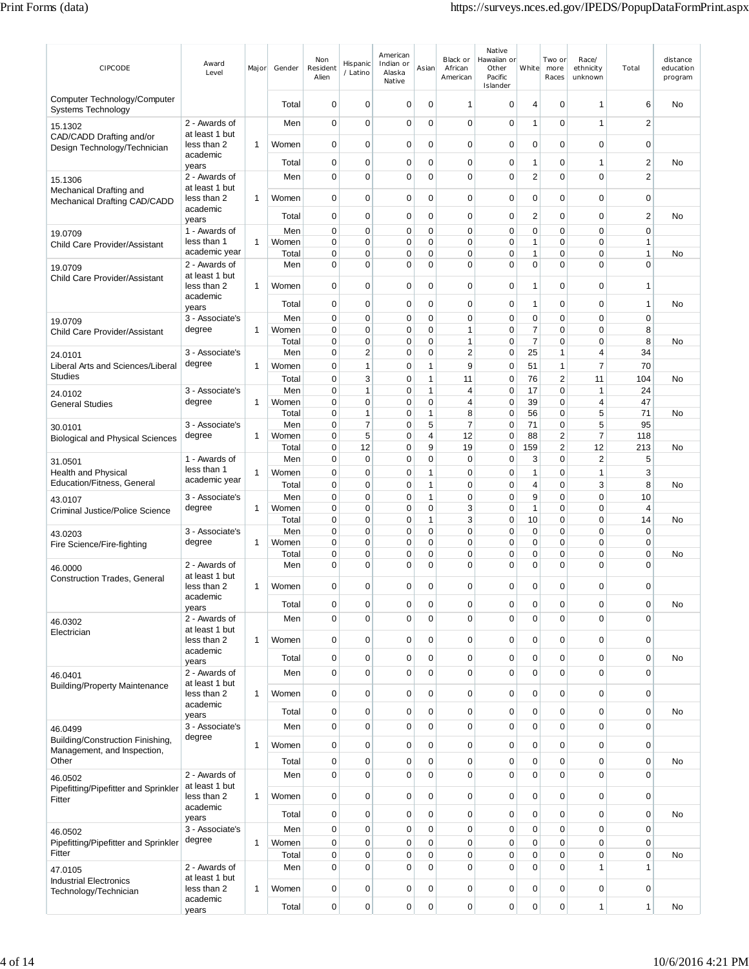| CIPCODE                                                  | Award<br>Level                            | Major        | Gender         | Non<br>Resident<br>Alien | Hispanic<br>/ Latino | American<br>Indian or<br>Alaska<br>Native | Asian        | Black or<br>African<br>American | Native<br>Hawaiian or<br>Other<br>Pacific<br>Islander | White               | Two or<br>more<br>Races          | Race/<br>ethnicity<br>unknown | Total                        | distance<br>education<br>program |
|----------------------------------------------------------|-------------------------------------------|--------------|----------------|--------------------------|----------------------|-------------------------------------------|--------------|---------------------------------|-------------------------------------------------------|---------------------|----------------------------------|-------------------------------|------------------------------|----------------------------------|
| Computer Technology/Computer<br>Systems Technology       |                                           |              | Total          | 0                        | $\mathbf 0$          | 0                                         | 0            | 1                               | 0                                                     | 4                   | 0                                | 1                             | 6                            | No                               |
| 15.1302                                                  | 2 - Awards of                             |              | Men            | 0                        | 0                    | 0                                         | 0            | $\mathbf 0$                     | 0                                                     | 1                   | $\mathbf 0$                      | 1                             | $\overline{2}$               |                                  |
| CAD/CADD Drafting and/or<br>Design Technology/Technician | at least 1 but<br>less than 2<br>academic | 1            | Women          | 0                        | 0                    | 0                                         | 0            | 0                               | 0                                                     | 0                   | 0                                | 0                             | 0                            |                                  |
|                                                          | years                                     |              | Total          | 0                        | $\mathbf 0$          | 0                                         | 0            | 0                               | 0                                                     | 1                   | 0                                | 1                             | $\overline{c}$               | No                               |
| 15.1306                                                  | 2 - Awards of                             |              | Men            | 0                        | $\mathbf 0$          | 0                                         | $\Omega$     | $\mathbf 0$                     | $\overline{0}$                                        | 2                   | $\mathbf 0$                      | $\Omega$                      | $\overline{2}$               |                                  |
| Mechanical Drafting and<br>Mechanical Drafting CAD/CADD  | at least 1 but<br>less than 2             | 1            | Women          | 0                        | $\mathbf 0$          | 0                                         | 0            | 0                               | $\mathbf 0$                                           | 0                   | $\mathbf 0$                      | 0                             | $\mathbf 0$                  |                                  |
|                                                          | academic<br>years                         |              | Total          | 0                        | 0                    | 0                                         | 0            | 0                               | 0                                                     | 2                   | $\mathbf 0$                      | 0                             | $\overline{2}$               | No                               |
| 19.0709                                                  | 1 - Awards of                             |              | Men            | 0                        | $\mathbf 0$          | 0                                         | 0            | 0                               | 0                                                     | 0                   | $\mathbf 0$                      | 0                             | $\mathbf 0$                  |                                  |
| Child Care Provider/Assistant                            | less than 1<br>academic year              | 1            | Women<br>Total | 0<br>0                   | $\mathbf 0$<br>0     | 0<br>0                                    | 0<br>0       | 0<br>$\mathbf 0$                | $\mathbf 0$<br>0                                      | 1<br>1              | $\mathbf 0$<br>$\mathbf 0$       | $\mathbf 0$<br>$\mathbf 0$    | $\mathbf{1}$<br>$\mathbf{1}$ | No                               |
| 19.0709                                                  | 2 - Awards of                             |              | Men            | 0                        | 0                    | 0                                         | 0            | 0                               | 0                                                     | 0                   | $\mathbf 0$                      | $\Omega$                      | $\mathbf 0$                  |                                  |
| Child Care Provider/Assistant                            | at least 1 but                            |              |                |                          |                      |                                           |              |                                 |                                                       |                     |                                  |                               |                              |                                  |
|                                                          | less than 2<br>academic                   | 1            | Women          | 0                        | $\mathbf 0$          | 0                                         | 0            | 0                               | 0                                                     | 1                   | $\mathbf 0$                      | 0                             | $\overline{1}$               |                                  |
|                                                          | years                                     |              | Total          | 0                        | 0                    | 0                                         | 0            | 0                               | 0                                                     | 1                   | $\mathbf 0$                      | $\mathbf 0$                   | $\overline{1}$               | No                               |
| 19.0709                                                  | 3 - Associate's                           |              | Men            | 0                        | 0                    | 0                                         | 0            | 0                               | 0                                                     | 0                   | $\mathbf 0$                      | 0                             | $\mathbf 0$                  |                                  |
| Child Care Provider/Assistant                            | degree                                    | 1            | Women<br>Total | 0<br>0                   | 0<br>0               | 0<br>0                                    | 0<br>0       | 1<br>$\mathbf{1}$               | 0<br>0                                                | 7<br>$\overline{7}$ | $\mathbf 0$<br>$\mathbf 0$       | 0<br>$\mathbf 0$              | 8<br>8                       | No                               |
| 24.0101                                                  | 3 - Associate's                           |              | Men            | 0                        | $\overline{c}$       | $\mathbf 0$                               | 0            | $\overline{2}$                  | $\mathbf 0$                                           | 25                  | $\mathbf{1}$                     | 4                             | 34                           |                                  |
| Liberal Arts and Sciences/Liberal                        | degree                                    | 1            | Women          | 0                        | 1                    | $\mathbf 0$                               | 1            | 9                               | 0                                                     | 51                  | $\mathbf{1}$                     | 7                             | 70                           |                                  |
| <b>Studies</b>                                           |                                           |              | Total          | 0                        | 3                    | 0                                         | 1            | 11                              | 0                                                     | 76                  | $\sqrt{2}$                       | 11                            | 104                          | No                               |
| 24.0102                                                  | 3 - Associate's<br>degree                 | 1            | Men<br>Women   | 0<br>0                   | $\mathbf{1}$<br>0    | 0<br>0                                    | 1<br>0       | 4<br>4                          | 0<br>$\mathbf 0$                                      | 17<br>39            | $\mathbf 0$<br>$\mathbf 0$       | 1<br>4                        | 24<br>47                     |                                  |
| <b>General Studies</b>                                   |                                           |              | Total          | 0                        | 1                    | $\mathbf 0$                               | 1            | 8                               | 0                                                     | 56                  | $\mathbf 0$                      | 5                             | 71                           | No                               |
| 30.0101                                                  | 3 - Associate's                           |              | Men            | 0                        | 7                    | $\mathbf 0$                               | 5            | 7                               | $\mathbf 0$                                           | 71                  | $\mathbf 0$                      | 5                             | 95                           |                                  |
| <b>Biological and Physical Sciences</b>                  | degree                                    | 1            | Women          | 0                        | 5<br>12              | 0<br>0                                    | 4<br>9       | 12                              | 0                                                     | 88                  | $\overline{2}$<br>$\overline{2}$ | 7<br>12                       | 118                          |                                  |
| 31.0501                                                  | 1 - Awards of                             |              | Total<br>Men   | 0<br>0                   | 0                    | 0                                         | 0            | 19<br>0                         | 0<br>0                                                | 159<br>3            | $\mathbf 0$                      | $\overline{2}$                | 213<br>5                     | No                               |
| Health and Physical                                      | less than 1                               | 1            | Women          | 0                        | 0                    | $\mathbf 0$                               | 1            | 0                               | 0                                                     | 1                   | $\mathbf 0$                      | 1                             | 3                            |                                  |
| Education/Fitness, General                               | academic year                             |              | Total          | 0                        | $\mathbf 0$          | 0                                         | 1            | 0                               | 0                                                     | 4                   | $\mathbf 0$                      | 3                             | 8                            | No                               |
| 43.0107                                                  | 3 - Associate's                           |              | Men            | 0                        | 0                    | 0                                         | $\mathbf{1}$ | $\mathbf 0$                     | 0                                                     | 9                   | $\mathbf 0$                      | $\mathbf 0$                   | 10                           |                                  |
| <b>Criminal Justice/Police Science</b>                   | degree                                    | 1            | Women<br>Total | 0<br>0                   | $\mathbf 0$<br>0     | 0<br>0                                    | 0<br>1       | 3<br>3                          | 0<br>0                                                | 1<br>10             | $\mathbf 0$<br>$\mathbf 0$       | 0<br>$\Omega$                 | 4<br>14                      | No                               |
| 43.0203                                                  | 3 - Associate's                           |              | Men            | 0                        | 0                    | $\mathbf 0$                               | 0            | 0                               | 0                                                     | 0                   | $\mathbf 0$                      | $\Omega$                      | $\mathbf 0$                  |                                  |
| Fire Science/Fire-fighting                               | degree                                    | 1            | Women          | 0                        | 0                    | $\mathbf 0$                               | 0            | 0                               | $\mathbf 0$                                           | 0                   | $\mathbf 0$                      | 0                             | 0                            |                                  |
|                                                          | 2 - Awards of                             |              | Total<br>Men   | 0<br>0                   | 0<br>$\mathbf 0$     | 0<br>0                                    | 0<br>0       | 0<br>0                          | 0<br>$\mathbf 0$                                      | 0<br>0              | 0<br>$\mathbf 0$                 | 0<br>0                        | 0<br>$\mathbf 0$             | No                               |
| 46.0000<br><b>Construction Trades, General</b>           | at least 1 but                            |              |                |                          |                      |                                           |              |                                 |                                                       |                     |                                  |                               |                              |                                  |
|                                                          | less than 2                               | $\mathbf{1}$ | Women          | 0                        | $\mathbf 0$          | 0                                         | 0            | 0                               | 0                                                     | 0                   | 0                                | 0                             | 0                            |                                  |
|                                                          | academic<br>years                         |              | Total          | 0                        | $\mathbf 0$          | 0                                         | 0            | 0                               | 0                                                     | 0                   | 0                                | 0                             | $\mathbf 0$                  | No                               |
| 46.0302                                                  | 2 - Awards of                             |              | Men            | 0                        | $\mathbf 0$          | 0                                         | 0            | 0                               | 0                                                     | $\mathbf 0$         | $\mathbf 0$                      | 0                             | $\mathbf 0$                  |                                  |
| Electrician                                              | at least 1 but<br>less than 2             | $\mathbf{1}$ | Women          | 0                        | 0                    | 0                                         | 0            | 0                               | 0                                                     | 0                   | 0                                | 0                             | $\mathbf 0$                  |                                  |
|                                                          | academic                                  |              |                |                          |                      |                                           |              |                                 |                                                       |                     | $\pmb{0}$                        |                               |                              |                                  |
|                                                          | years<br>2 - Awards of                    |              | Total          | 0<br>$\overline{0}$      | 0<br>$\overline{0}$  | 0<br>$\mathbf 0$                          | 0<br>0       | 0<br>0                          | 0<br>0                                                | 0<br>0              | $\mathbf 0$                      | 0<br>0                        | $\mathbf 0$<br>$\mathbf 0$   | No                               |
| 46.0401<br><b>Building/Property Maintenance</b>          | at least 1 but                            |              | Men            |                          |                      |                                           |              |                                 |                                                       |                     |                                  |                               |                              |                                  |
|                                                          | less than 2                               | $\mathbf{1}$ | Women          | 0                        | $\mathbf 0$          | $\mathbf 0$                               | 0            | 0                               | 0                                                     | $\mathbf 0$         | $\pmb{0}$                        | 0                             | $\mathbf 0$                  |                                  |
|                                                          | academic<br>years                         |              | Total          | 0                        | $\mathbf 0$          | 0                                         | 0            | 0                               | 0                                                     | 0                   | $\pmb{0}$                        | 0                             | $\mathbf 0$                  | No                               |
| 46.0499                                                  | 3 - Associate's                           |              | Men            | 0                        | $\mathbf 0$          | 0                                         | 0            | 0                               | $\pmb{0}$                                             | $\mathbf 0$         | $\pmb{0}$                        | 0                             | $\mathbf 0$                  |                                  |
| Building/Construction Finishing,                         | degree                                    | $\mathbf{1}$ | Women          | 0                        | 0                    | $\mathbf 0$                               | $\mathbf{0}$ | 0                               | 0                                                     | 0                   | $\pmb{0}$                        | 0                             | $\mathbf 0$                  |                                  |
| Management, and Inspection,<br>Other                     |                                           |              | Total          | 0                        | 0                    | 0                                         | 0            | 0                               | 0                                                     | 0                   | $\pmb{0}$                        | 0                             | $\mathbf 0$                  | No                               |
| 46.0502                                                  | 2 - Awards of                             |              | Men            | 0                        | $\overline{0}$       | $\mathbf 0$                               | 0            | $\mathbf 0$                     | 0                                                     | 0                   | $\mathbf 0$                      | 0                             | $\mathbf 0$                  |                                  |
| Pipefitting/Pipefitter and Sprinkler                     | at least 1 but                            |              |                |                          |                      |                                           |              |                                 |                                                       |                     |                                  |                               |                              |                                  |
| Fitter                                                   | less than 2<br>academic                   | $\mathbf{1}$ | Women          | 0                        | $\mathbf 0$          | $\mathbf 0$                               | 0            | 0                               | 0                                                     | $\mathbf 0$         | $\pmb{0}$                        | 0                             | $\mathbf 0$                  |                                  |
|                                                          | years                                     |              | Total          | 0                        | 0                    | 0                                         | 0            | 0                               | 0                                                     | 0                   | 0                                | 0                             | $\mathbf 0$                  | No                               |
| 46.0502                                                  | 3 - Associate's                           |              | Men            | $\mathbf 0$              | $\mathbf 0$          | 0                                         | 0            | 0                               | $\pmb{0}$                                             | $\mathbf 0$         | $\pmb{0}$                        | 0                             | $\mathbf 0$                  |                                  |
| Pipefitting/Pipefitter and Sprinkler<br>Fitter           | degree                                    | $\mathbf{1}$ | Women          | 0                        | $\mathbf 0$          | $\mathbf 0$                               | 0            | 0                               | 0                                                     | 0                   | $\pmb{0}$                        | $\overline{0}$                | $\mathbf 0$                  |                                  |
|                                                          | 2 - Awards of                             |              | Total<br>Men   | 0<br>$\overline{0}$      | 0<br>$\overline{0}$  | $\mathbf 0$<br>$\mathbf 0$                | 0<br>0       | 0<br>$\mathbf 0$                | 0<br>0                                                | 0<br>$\Omega$       | $\pmb{0}$<br>$\mathbf 0$         | 0<br>1                        | $\mathbf 0$<br>$\mathbf{1}$  | No                               |
| 47.0105<br><b>Industrial Electronics</b>                 | at least 1 but                            |              |                |                          |                      |                                           |              |                                 |                                                       |                     |                                  |                               |                              |                                  |
| Technology/Technician                                    | less than 2                               | 1            | Women          | 0                        | $\mathbf 0$          | 0                                         | 0            | 0                               | $\pmb{0}$                                             | 0                   | $\pmb{0}$                        | $\pmb{0}$                     | $\mathbf 0$                  |                                  |
|                                                          | academic<br>years                         |              | Total          | 0                        | $\mathbf 0$          | 0                                         | 0            | 0                               | $\pmb{0}$                                             | 0                   | $\pmb{0}$                        | 1                             | $\mathbf{1}$                 | No                               |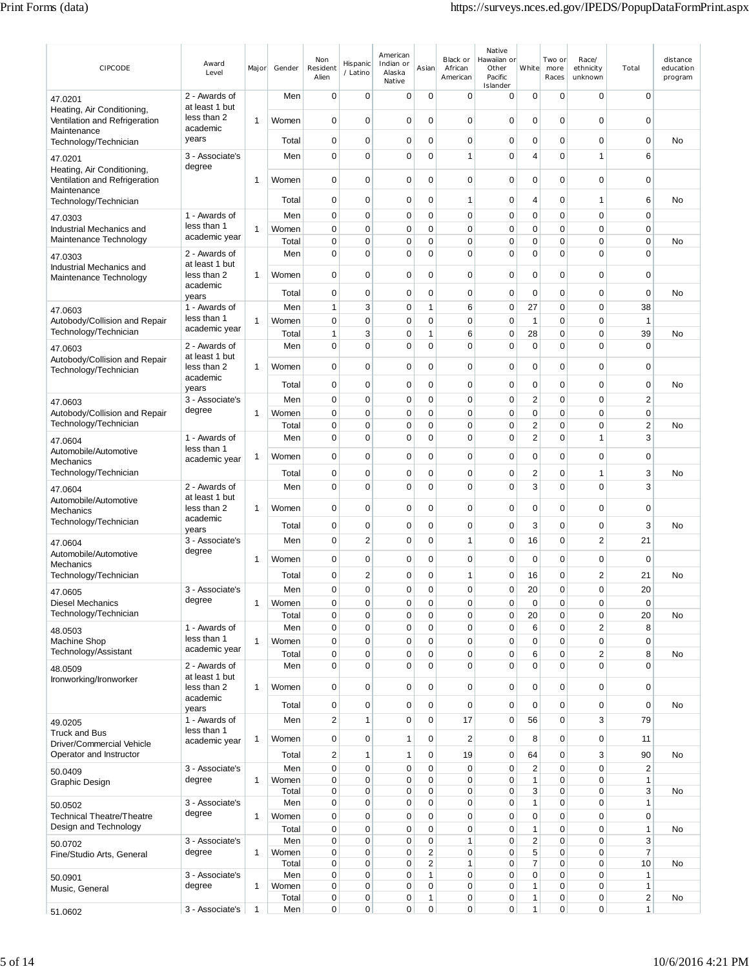| CIPCODE                                                                    | Award<br>Level                  | Major        | Gender         | Non<br>Resident<br>Alien | Hispanic<br>/ Latino | American<br>Indian or<br>Alaska<br>Native | Asian                            | Black or<br>African<br>American | Native<br>Hawaiian or<br>Other<br>Pacific<br>Islander | White              | Two or<br>more<br>Races    | Race/<br>ethnicity<br>unknown | Total                          | distance<br>education<br>program |
|----------------------------------------------------------------------------|---------------------------------|--------------|----------------|--------------------------|----------------------|-------------------------------------------|----------------------------------|---------------------------------|-------------------------------------------------------|--------------------|----------------------------|-------------------------------|--------------------------------|----------------------------------|
| 47.0201                                                                    | 2 - Awards of<br>at least 1 but |              | Men            | $\mathbf 0$              | $\mathbf 0$          | $\mathbf 0$                               | $\mathbf 0$                      | 0                               | 0                                                     | 0                  | 0                          | 0                             | $\mathbf 0$                    |                                  |
| Heating, Air Conditioning.<br>Ventilation and Refrigeration<br>Maintenance | less than 2<br>academic         | 1            | Women          | 0                        | $\mathbf 0$          | $\mathbf 0$                               | 0                                | 0                               | 0                                                     | 0                  | $\mathbf 0$                | 0                             | $\mathbf 0$                    |                                  |
| Technology/Technician                                                      | years                           |              | Total          | 0                        | $\mathbf 0$          | 0                                         | 0                                | 0                               | 0                                                     | 0                  | $\mathbf 0$                | $\mathbf 0$                   | $\mathbf 0$                    | No                               |
| 47.0201                                                                    | 3 - Associate's                 |              | Men            | 0                        | $\mathbf 0$          | 0                                         | 0                                | 1                               | 0                                                     | 4                  | $\mathbf 0$                | 1                             | 6                              |                                  |
| Heating, Air Conditioning,<br>Ventilation and Refrigeration<br>Maintenance | degree                          | 1            | Women          | 0                        | 0                    | 0                                         | 0                                | 0                               | 0                                                     | 0                  | 0                          | 0                             | 0                              |                                  |
| Technology/Technician                                                      |                                 |              | Total          | 0                        | $\mathbf 0$          | 0                                         | 0                                | 1                               | 0                                                     | 4                  | $\mathbf 0$                | 1                             | 6                              | No                               |
| 47.0303                                                                    | 1 - Awards of                   |              | Men            | 0                        | 0                    | 0                                         | 0                                | 0                               | 0                                                     | 0                  | $\mathbf 0$                | 0                             | $\mathbf 0$                    |                                  |
| Industrial Mechanics and<br>Maintenance Technology                         | less than 1<br>academic year    | 1            | Women<br>Total | 0<br>0                   | 0<br>$\mathbf 0$     | $\mathbf 0$<br>0                          | 0<br>0                           | 0<br>0                          | 0<br>0                                                | 0<br>0             | $\mathbf 0$<br>$\mathbf 0$ | $\mathbf 0$<br>$\mathbf 0$    | $\mathbf 0$<br>$\mathbf 0$     | No                               |
| 47.0303                                                                    | 2 - Awards of                   |              | Men            | 0                        | 0                    | 0                                         | 0                                | $\mathbf 0$                     | 0                                                     | 0                  | $\mathbf 0$                | $\mathbf 0$                   | $\mathbf 0$                    |                                  |
| Industrial Mechanics and                                                   | at least 1 but                  |              |                |                          |                      |                                           |                                  |                                 |                                                       |                    |                            |                               |                                |                                  |
| Maintenance Technology                                                     | less than 2<br>academic         | 1            | Women          | 0                        | $\mathbf 0$          | 0                                         | 0                                | 0                               | 0                                                     | $\mathbf 0$        | $\mathbf 0$                | 0                             | 0                              |                                  |
|                                                                            | years                           |              | Total          | 0                        | $\mathbf 0$          | 0                                         | 0                                | 0                               | 0                                                     | $\mathbf 0$        | $\mathbf 0$                | 0                             | $\mathbf 0$                    | No                               |
| 47.0603<br>Autobody/Collision and Repair                                   | 1 - Awards of<br>less than 1    | 1            | Men<br>Women   | 1<br>0                   | 3<br>$\mathbf 0$     | $\mathbf 0$<br>$\mathbf 0$                | 1<br>0                           | 6<br>0                          | $\mathbf 0$<br>0                                      | 27<br>$\mathbf{1}$ | $\mathbf 0$<br>$\mathbf 0$ | $\mathbf 0$<br>$\mathbf 0$    | 38<br>$\overline{1}$           |                                  |
| Technology/Technician                                                      | academic year                   |              | Total          | 1                        | 3                    | 0                                         | 1                                | 6                               | 0                                                     | 28                 | $\mathbf 0$                | $\mathbf 0$                   | 39                             | No                               |
| 47.0603                                                                    | 2 - Awards of                   |              | Men            | 0                        | 0                    | 0                                         | 0                                | 0                               | 0                                                     | $\mathbf 0$        | $\mathbf 0$                | 0                             | $\mathbf 0$                    |                                  |
| Autobody/Collision and Repair                                              | at least 1 but<br>less than 2   | $\mathbf 1$  | Women          | 0                        | 0                    | 0                                         | 0                                | 0                               | 0                                                     | 0                  | $\mathbf 0$                | $\mathbf 0$                   | 0                              |                                  |
| Technology/Technician                                                      | academic                        |              |                |                          |                      |                                           |                                  |                                 |                                                       |                    |                            |                               |                                |                                  |
|                                                                            | years                           |              | Total          | 0                        | $\mathbf 0$          | 0                                         | 0                                | 0                               | 0                                                     | 0                  | $\mathbf 0$                | 0                             | $\mathbf 0$                    | No                               |
| 47.0603<br>Autobody/Collision and Repair                                   | 3 - Associate's<br>degree       | $\mathbf{1}$ | Men<br>Women   | 0<br>0                   | $\mathbf 0$<br>0     | 0<br>0                                    | 0<br>0                           | $\mathbf 0$<br>0                | 0<br>0                                                | $\mathbf 2$<br>0   | $\mathbf 0$<br>$\mathbf 0$ | $\mathbf 0$<br>0              | $\overline{2}$<br>0            |                                  |
| Technology/Technician                                                      |                                 |              | Total          | 0                        | 0                    | 0                                         | 0                                | 0                               | 0                                                     | 2                  | $\mathbf 0$                | 0                             | $\overline{2}$                 | No                               |
| 47.0604                                                                    | 1 - Awards of                   |              | Men            | 0                        | $\mathbf 0$          | 0                                         | 0                                | $\mathbf 0$                     | 0                                                     | 2                  | $\mathbf 0$                | 1                             | 3                              |                                  |
| Automobile/Automotive                                                      | less than 1<br>academic year    | 1            | Women          | 0                        | $\mathbf 0$          | 0                                         | 0                                | 0                               | 0                                                     | 0                  | $\mathbf 0$                | $\mathbf 0$                   | $\mathbf 0$                    |                                  |
| Mechanics<br>Technology/Technician                                         |                                 |              | Total          | 0                        | 0                    | 0                                         | 0                                | 0                               | 0                                                     | 2                  | $\mathbf 0$                | 1                             | 3                              | No                               |
| 47.0604                                                                    | 2 - Awards of                   |              | Men            | 0                        | 0                    | 0                                         | 0                                | 0                               | 0                                                     | 3                  | $\mathbf 0$                | $\mathbf 0$                   | 3                              |                                  |
| Automobile/Automotive                                                      | at least 1 but                  |              |                |                          |                      |                                           |                                  |                                 |                                                       |                    |                            |                               |                                |                                  |
| Mechanics<br>Technology/Technician                                         | less than 2<br>academic         | 1            | Women          | 0                        | 0                    | 0                                         | 0                                | 0                               | 0                                                     | $\mathbf 0$        | $\mathbf 0$                | $\mathbf 0$                   | $\mathbf 0$                    |                                  |
|                                                                            | years                           |              | Total          | 0                        | 0                    | 0                                         | 0                                | 0                               | 0                                                     | 3                  | $\mathbf 0$                | 0                             | 3                              | No                               |
| 47.0604<br>Automobile/Automotive                                           | 3 - Associate's<br>degree       |              | Men            | 0                        | $\overline{c}$       | 0                                         | 0                                | 1                               | $\mathbf 0$                                           | 16                 | $\mathbf 0$                | $\overline{2}$                | 21                             |                                  |
| Mechanics                                                                  |                                 | -1           | Women          | 0                        | $\mathbf 0$          | 0                                         | 0                                | 0                               | 0                                                     | 0                  | $\mathbf 0$                | 0                             | $\mathbf 0$                    |                                  |
| Technology/Technician                                                      |                                 |              | Total          | 0                        | $\overline{c}$       | 0                                         | 0                                | 1                               | 0                                                     | 16                 | $\mathbf 0$                | $\overline{2}$                | 21                             | <b>No</b>                        |
| 47.0605                                                                    | 3 - Associate's<br>degree       |              | Men            | $\Omega$                 | $\Omega$             | $\Omega$                                  | $\Omega$                         | $\Omega$                        | 0                                                     | 20                 | $\Omega$                   | $\Omega$                      | 20                             |                                  |
| <b>Diesel Mechanics</b><br>Technology/Technician                           |                                 | 1            | Women<br>Total | 0<br>0                   | 0<br>0               | 0<br>0                                    | $\pmb{0}$<br>0                   | $\mathbf 0$<br>0                | 0<br>$\mathbf 0$                                      | $\mathbf 0$<br>20  | $\mathbf 0$<br>0           | 0<br>0                        | $\mathbf 0$<br>20              | No                               |
| 48.0503                                                                    | 1 - Awards of                   |              | Men            | 0                        | $\mathbf 0$          | $\mathbf 0$                               | 0                                | 0                               | 0                                                     | $6\phantom{1}6$    | $\pmb{0}$                  | $\overline{2}$                | 8                              |                                  |
| Machine Shop                                                               | less than 1                     | $\mathbf{1}$ | Women          | 0                        | 0                    | 0                                         | 0                                | 0                               | 0                                                     | 0                  | $\mathbf 0$                | 0                             | $\mathbf 0$                    |                                  |
| Technology/Assistant                                                       | academic year                   |              | Total          | 0                        | 0                    | 0                                         | 0                                | 0                               | 0                                                     | 6                  | $\mathbf 0$                | $\overline{2}$                | 8                              | No                               |
| 48.0509<br>Ironworking/Ironworker                                          | 2 - Awards of<br>at least 1 but |              | Men            | 0                        | $\mathbf 0$          | 0                                         | 0                                | 0                               | 0                                                     | 0                  | $\mathbf 0$                | 0                             | $\mathbf 0$                    |                                  |
|                                                                            | less than 2                     | 1            | Women          | 0                        | $\overline{0}$       | 0                                         | 0                                | 0                               | 0                                                     | 0                  | $\mathbf 0$                | 0                             | $\mathbf 0$                    |                                  |
|                                                                            | academic<br>years               |              | Total          | 0                        | 0                    | 0                                         | 0                                | 0                               | 0                                                     | $\mathbf 0$        | $\mathbf 0$                | 0                             | $\mathbf 0$                    | No                               |
| 49.0205                                                                    | 1 - Awards of                   |              | Men            | 2                        | $\mathbf{1}$         | 0                                         | 0                                | 17                              | 0                                                     | 56                 | $\mathbf 0$                | 3                             | 79                             |                                  |
| <b>Truck and Bus</b>                                                       | less than 1<br>academic year    | 1            | Women          | 0                        | 0                    | $\mathbf{1}$                              | 0                                | $\overline{2}$                  | 0                                                     | 8                  | $\mathbf 0$                | 0                             | 11                             |                                  |
| Driver/Commercial Vehicle<br>Operator and Instructor                       |                                 |              | Total          | $\overline{\mathbf{c}}$  | 1                    | 1                                         | 0                                | 19                              | 0                                                     | 64                 | $\mathbf 0$                | 3                             | 90                             | No                               |
| 50.0409                                                                    | 3 - Associate's                 |              | Men            | $\mathbf 0$              | $\mathbf 0$          | 0                                         | 0                                | 0                               | 0                                                     | $\mathbf 2$        | $\mathbf 0$                | $\mathbf 0$                   | $\sqrt{2}$                     |                                  |
| Graphic Design                                                             | degree                          | 1            | Women          | 0                        | 0                    | 0                                         | 0                                | 0                               | 0                                                     | 1                  | $\mathbf 0$                | 0                             | $\mathbf{1}$                   |                                  |
|                                                                            | 3 - Associate's                 |              | Total<br>Men   | 0<br>0                   | 0<br>0               | 0<br>0                                    | 0<br>0                           | 0<br>0                          | 0<br>0                                                | 3<br>1             | $\mathbf 0$<br>$\mathbf 0$ | 0<br>0                        | 3<br>$\mathbf{1}$              | No                               |
| 50.0502<br><b>Technical Theatre/Theatre</b>                                | degree                          | 1            | Women          | 0                        | 0                    | 0                                         | 0                                | $\mathbf 0$                     | 0                                                     | $\mathbf 0$        | $\mathbf 0$                | $\mathbf 0$                   | $\mathbf 0$                    |                                  |
| Design and Technology                                                      |                                 |              | Total          | 0                        | 0                    | 0                                         | 0                                | 0                               | 0                                                     | 1                  | 0                          | 0                             | $\mathbf{1}$                   | No                               |
| 50.0702                                                                    | 3 - Associate's<br>degree       |              | Men            | 0                        | $\mathbf 0$          | 0                                         | 0                                | 1                               | 0                                                     | $\overline{2}$     | $\pmb{0}$                  | 0                             | 3                              |                                  |
| Fine/Studio Arts, General                                                  |                                 | $\mathbf{1}$ | Women<br>Total | 0<br>0                   | 0<br>0               | 0<br>0                                    | $\overline{2}$<br>$\overline{2}$ | 0<br>1                          | 0<br>0                                                | 5<br>7             | $\mathbf 0$<br>$\mathbf 0$ | 0<br>0                        | $\overline{7}$<br>10           | No                               |
| 50.0901                                                                    | 3 - Associate's                 |              | Men            | 0                        | 0                    | 0                                         | 1                                | 0                               | 0                                                     | 0                  | $\mathbf 0$                | $\mathbf 0$                   | $\mathbf{1}$                   |                                  |
| Music, General                                                             | degree                          | 1            | Women<br>Total | 0<br>0                   | 0<br>0               | 0<br>0                                    | 0<br>1                           | 0<br>0                          | 0<br>0                                                | 1<br>1             | 0<br>0                     | 0<br>0                        | $\mathbf{1}$<br>$\overline{2}$ | No                               |
| 51.0602                                                                    | 3 - Associate's                 | $\mathbf{1}$ | Men            | $\overline{0}$           | 0                    | 0                                         | 0                                | 0                               | 0                                                     | 1                  | 0                          | 0                             | $\mathbf{1}$                   |                                  |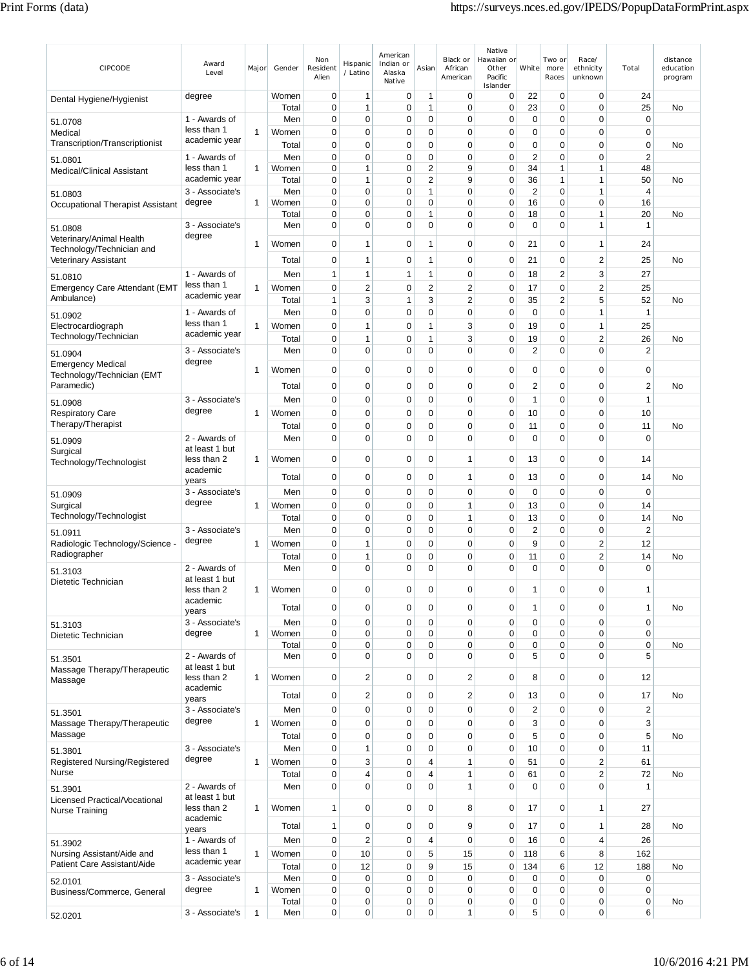| CIPCODE                                                   | Award<br>Level                  | Major        | Gender         | Non<br>Resident<br>Alien | Hispanic<br>/ Latino        | American<br>Indian or<br>Alaska<br>Native | Asian                                     | Black or<br>African<br>American | Native<br>Hawaiian or<br>Other<br>Pacific<br>Islander | White                         | Two or<br>more<br>Races                | Race/<br>ethnicity<br>unknown    | Total                      | distance<br>education<br>program |
|-----------------------------------------------------------|---------------------------------|--------------|----------------|--------------------------|-----------------------------|-------------------------------------------|-------------------------------------------|---------------------------------|-------------------------------------------------------|-------------------------------|----------------------------------------|----------------------------------|----------------------------|----------------------------------|
| Dental Hygiene/Hygienist                                  | degree                          |              | Women          | 0                        | 1                           | 0                                         | 1                                         | 0                               | 0                                                     | 22                            | 0                                      | 0                                | 24                         |                                  |
| 51.0708                                                   | 1 - Awards of                   |              | Total<br>Men   | 0<br>0                   | $\mathbf{1}$<br>$\mathbf 0$ | $\mathbf 0$<br>0                          | 1<br>0                                    | $\mathbf 0$<br>0                | 0<br>0                                                | 23<br>0                       | $\mathbf 0$<br>$\mathbf 0$             | $\mathbf 0$<br>$\Omega$          | 25<br>$\mathbf 0$          | <b>No</b>                        |
| Medical                                                   | less than 1                     | 1            | Women          | 0                        | $\mathbf 0$                 | 0                                         | 0                                         | 0                               | 0                                                     | 0                             | $\mathbf 0$                            | 0                                | 0                          |                                  |
| Transcription/Transcriptionist                            | academic year                   |              | Total          | 0                        | $\mathbf 0$                 | 0                                         | 0                                         | 0                               | 0                                                     | 0                             | $\mathbf 0$                            | 0                                | 0                          | No                               |
| 51.0801                                                   | 1 - Awards of                   |              | Men            | $\mathbf 0$              | 0                           | $\mathbf 0$                               | $\mathbf 0$                               | $\mathbf 0$                     | 0                                                     | $\overline{c}$                | $\mathbf 0$                            | $\mathbf 0$                      | $\overline{2}$             |                                  |
| Medical/Clinical Assistant                                | less than 1<br>academic year    | 1            | Women<br>Total | 0<br>$\mathbf 0$         | 1<br>$\mathbf{1}$           | $\mathbf 0$<br>$\mathbf 0$                | $\overline{\mathbf{c}}$<br>$\overline{2}$ | 9<br>9                          | 0<br>0                                                | 34<br>36                      | $\mathbf{1}$<br>$\mathbf{1}$           | 1<br>1                           | 48<br>50                   | No                               |
| 51.0803                                                   | 3 - Associate's                 |              | Men            | 0                        | $\mathbf 0$                 | 0                                         | 1                                         | 0                               | 0                                                     | $\overline{2}$                | $\mathbf 0$                            | 1                                | $\overline{4}$             |                                  |
| Occupational Therapist Assistant                          | degree                          | 1            | Women          | 0                        | $\mathbf 0$                 | 0                                         | 0                                         | 0                               | 0                                                     | 16                            | $\mathbf 0$                            | 0                                | 16                         |                                  |
| 51.0808                                                   | 3 - Associate's                 |              | Total<br>Men   | 0<br>0                   | $\mathbf 0$<br>$\mathbf 0$  | 0<br>0                                    | 1<br>0                                    | 0<br>0                          | 0<br>$\mathbf 0$                                      | 18<br>$\mathbf 0$             | $\mathbf 0$<br>$\mathbf 0$             | 1<br>1                           | 20<br>$\overline{1}$       | No                               |
| Veterinary/Animal Health                                  | degree                          |              |                |                          |                             |                                           |                                           |                                 |                                                       |                               |                                        |                                  |                            |                                  |
| Technology/Technician and                                 |                                 | -1           | Women          | 0                        | 1                           | 0                                         | 1                                         | 0                               | 0                                                     | 21                            | $\mathbf 0$                            | 1                                | 24                         |                                  |
| Veterinary Assistant                                      |                                 |              | Total          | 0<br>$\mathbf{1}$        | 1                           | 0<br>1                                    | 1<br>1                                    | 0<br>0                          | 0<br>0                                                | 21                            | $\mathbf 0$                            | 2<br>3                           | 25                         | No                               |
| 51.0810<br><b>Emergency Care Attendant (EMT</b>           | 1 - Awards of<br>less than 1    | 1            | Men<br>Women   | 0                        | 1<br>$\overline{c}$         | 0                                         | 2                                         | 2                               | 0                                                     | 18<br>17                      | $\overline{\mathbf{c}}$<br>$\mathbf 0$ | $\overline{c}$                   | 27<br>25                   |                                  |
| Ambulance)                                                | academic year                   |              | Total          | 1                        | 3                           | 1                                         | 3                                         | $\overline{2}$                  | 0                                                     | 35                            | $\sqrt{2}$                             | 5                                | 52                         | No                               |
| 51.0902                                                   | 1 - Awards of                   |              | Men            | $\mathbf 0$              | $\mathbf 0$                 | 0                                         | $\mathbf 0$                               | $\mathbf 0$                     | $\mathbf 0$                                           | $\mathbf 0$                   | $\mathbf 0$                            | 1                                | $\mathbf{1}$               |                                  |
| Electrocardiograph                                        | less than 1                     | 1            | Women          | $\mathbf 0$              | 1                           | 0                                         | 1                                         | 3                               | 0                                                     | 19                            | $\mathbf 0$                            | 1                                | 25                         |                                  |
| Technology/Technician                                     | academic year                   |              | Total          | 0                        | 1                           | $\mathbf 0$                               | 1                                         | 3                               | $\mathbf 0$                                           | 19                            | $\mathbf 0$                            | $\overline{2}$                   | 26                         | No                               |
| 51.0904                                                   | 3 - Associate's<br>degree       |              | Men            | $\mathbf 0$              | $\mathbf 0$                 | 0                                         | 0                                         | 0                               | 0                                                     | $\mathbf 2$                   | $\mathbf 0$                            | $\mathbf 0$                      | $\overline{2}$             |                                  |
| <b>Emergency Medical</b><br>Technology/Technician (EMT    |                                 | -1           | Women          | 0                        | $\mathbf 0$                 | 0                                         | 0                                         | 0                               | 0                                                     | 0                             | $\mathbf 0$                            | 0                                | 0                          |                                  |
| Paramedic)                                                |                                 |              | Total          | 0                        | $\mathbf 0$                 | 0                                         | 0                                         | 0                               | $\mathbf 0$                                           | $\overline{2}$                | $\mathbf 0$                            | 0                                | $\overline{2}$             | No                               |
| 51.0908                                                   | 3 - Associate's                 |              | Men            | $\mathbf 0$              | $\mathbf 0$                 | $\mathbf 0$                               | $\mathbf 0$                               | 0                               | $\mathbf 0$                                           | $\mathbf{1}$                  | $\mathbf 0$                            | $\mathbf 0$                      | $\overline{1}$             |                                  |
| <b>Respiratory Care</b>                                   | degree                          | 1            | Women          | 0                        | 0                           | 0                                         | 0                                         | 0                               | 0                                                     | 10                            | $\mathbf 0$                            | 0                                | 10                         |                                  |
| Therapy/Therapist                                         | 2 - Awards of                   |              | Total<br>Men   | 0<br>$\mathbf 0$         | $\mathbf 0$<br>$\mathbf 0$  | 0<br>0                                    | $\mathbf 0$<br>0                          | 0<br>$\mathbf 0$                | 0<br>0                                                | 11<br>$\mathbf 0$             | $\mathbf 0$<br>$\mathbf 0$             | $\mathbf 0$<br>$\mathbf 0$       | 11<br>$\mathbf 0$          | No                               |
| 51.0909<br>Surgical                                       | at least 1 but                  |              |                |                          |                             |                                           |                                           |                                 |                                                       |                               |                                        |                                  |                            |                                  |
| Technology/Technologist                                   | less than 2                     | 1            | Women          | 0                        | 0                           | 0                                         | 0                                         | 1                               | 0                                                     | 13                            | 0                                      | 0                                | 14                         |                                  |
|                                                           | academic<br>years               |              | Total          | 0                        | $\mathbf 0$                 | 0                                         | 0                                         | 1                               | 0                                                     | 13                            | 0                                      | 0                                | 14                         | No                               |
| 51.0909                                                   | 3 - Associate's                 |              | Men            | 0                        | $\mathbf 0$                 | 0                                         | $\mathbf 0$                               | 0                               | 0                                                     | 0                             | $\mathbf 0$                            | 0                                | 0                          |                                  |
| Surgical                                                  | degree                          | 1            | Women          | 0                        | $\mathbf 0$                 | 0                                         | 0                                         | 1                               | 0                                                     | 13                            | $\mathbf 0$                            | 0                                | 14                         |                                  |
| Technology/Technologist                                   | 3 - Associate's                 |              | Total<br>Men   | $\mathbf 0$<br>0         | $\mathbf 0$<br>$\mathbf 0$  | 0<br>0                                    | $\mathbf 0$<br>$\mathbf 0$                | 1<br>0                          | 0<br>0                                                | 13<br>$\overline{\mathbf{c}}$ | $\mathbf 0$<br>$\mathbf 0$             | $\mathbf 0$<br>0                 | 14<br>$\mathbf 2$          | No                               |
| 51.0911<br>Radiologic Technology/Science -                | degree                          | $\mathbf{1}$ | Women          | 0                        | 1                           | 0                                         | 0                                         | 0                               | 0                                                     | 9                             | $\mathbf 0$                            | $\overline{2}$                   | 12                         |                                  |
| Radiographer                                              |                                 |              | Total          | 0                        | 1                           | 0                                         | 0                                         | 0                               | 0                                                     | 11                            | $\mathbf 0$                            | $\overline{2}$                   | 14                         | No                               |
| 51.3103                                                   | 2 - Awards of                   |              | Men            | $\Omega$                 | $\overline{0}$              | 0                                         | 0                                         | $\mathbf 0$                     | 0                                                     | $\mathbf 0$                   | $\mathbf 0$                            | $\mathbf 0$                      | $\mathbf 0$                |                                  |
| Dietetic Technician                                       | at least 1 but<br>less than 2   | 1            | Women          | 0                        | $\Omega$                    | $\Omega$                                  | $\Omega$                                  | $\Omega$                        | $\Omega$                                              | 1                             | $\Omega$                               | $\Omega$                         | 1                          |                                  |
|                                                           | academic                        |              |                |                          |                             |                                           |                                           |                                 |                                                       |                               |                                        |                                  |                            |                                  |
|                                                           | years                           |              | Total          | 0                        | $\pmb{0}$                   | 0                                         | 0                                         | 0                               | 0                                                     | 1                             | 0                                      | 0                                | $\mathbf{1}$               | No                               |
| 51.3103<br>Dietetic Technician                            | 3 - Associate's<br>degree       | $\mathbf{1}$ | Men<br>Women   | $\mathbf 0$<br>0         | $\mathbf 0$<br>0            | $\mathbf 0$<br>0                          | $\mathbf 0$<br>0                          | 0<br>0                          | 0<br>0                                                | $\mathbf 0$<br>0              | $\mathbf 0$<br>$\mathbf 0$             | 0<br>0                           | $\mathbf 0$<br>$\mathbf 0$ |                                  |
|                                                           |                                 |              | Total          | 0                        | $\pmb{0}$                   | 0                                         | 0                                         | 0                               | 0                                                     | $\pmb{0}$                     | 0                                      | 0                                | $\pmb{0}$                  | No                               |
| 51.3501                                                   | 2 - Awards of<br>at least 1 but |              | Men            | $\mathbf 0$              | 0                           | 0                                         | $\mathbf 0$                               | 0                               | $\mathbf 0$                                           | 5                             | $\mathbf 0$                            | 0                                | 5                          |                                  |
| Massage Therapy/Therapeutic<br>Massage                    | less than 2                     | 1            | Women          | $\mathbf 0$              | $\overline{c}$              | 0                                         | $\mathbf 0$                               | $\overline{\mathbf{c}}$         | 0                                                     | 8                             | $\mathbf 0$                            | 0                                | 12                         |                                  |
|                                                           | academic                        |              | Total          | 0                        | $\overline{c}$              | 0                                         | $\mathbf 0$                               | $\overline{c}$                  | 0                                                     | 13                            | $\mathbf 0$                            | 0                                | 17                         | No                               |
| 51.3501                                                   | years<br>3 - Associate's        |              | Men            | $\mathbf 0$              | $\mathbf 0$                 | $\mathbf 0$                               | $\mathbf 0$                               | 0                               | 0                                                     | $\overline{2}$                | $\mathbf 0$                            | $\mathbf 0$                      | $\sqrt{2}$                 |                                  |
| Massage Therapy/Therapeutic                               | degree                          | $\mathbf{1}$ | Women          | 0                        | 0                           | 0                                         | $\mathbf 0$                               | 0                               | 0                                                     | 3                             | $\mathbf 0$                            | 0                                | 3                          |                                  |
| Massage                                                   |                                 |              | Total          | 0                        | 0                           | 0                                         | 0                                         | 0                               | 0                                                     | 5                             | $\mathbf 0$                            | 0                                | 5                          | No                               |
| 51.3801                                                   | 3 - Associate's                 |              | Men            | $\mathbf 0$              | $\mathbf{1}$                | 0                                         | $\mathbf 0$                               | 0                               | $\mathbf 0$                                           | 10                            | $\pmb{0}$                              | 0                                | 11                         |                                  |
| Registered Nursing/Registered<br>Nurse                    | degree                          | 1            | Women<br>Total | $\mathbf 0$<br>0         | 3<br>4                      | 0<br>0                                    | 4<br>4                                    | 1<br>$\mathbf{1}$               | 0<br>0                                                | 51<br>61                      | $\pmb{0}$<br>$\pmb{0}$                 | $\overline{c}$<br>$\overline{2}$ | 61<br>72                   | No                               |
| 51.3901                                                   | 2 - Awards of                   |              | Men            | $\mathbf 0$              | $\mathbf 0$                 | 0                                         | $\mathbf 0$                               | 1                               | 0                                                     | $\mathbf 0$                   | $\mathbf 0$                            | $\mathbf 0$                      | $\mathbf{1}$               |                                  |
| Licensed Practical/Vocational                             | at least 1 but                  |              |                |                          |                             |                                           |                                           |                                 |                                                       |                               |                                        |                                  |                            |                                  |
| <b>Nurse Training</b>                                     | less than 2<br>academic         | $\mathbf{1}$ | Women          | 1                        | $\mathbf 0$                 | 0                                         | $\mathbf 0$                               | 8                               | 0                                                     | 17                            | 0                                      | 1                                | 27                         |                                  |
|                                                           | years                           |              | Total          | 1                        | 0                           | 0                                         | $\mathbf 0$                               | 9                               | 0                                                     | 17                            | 0                                      | 1                                | 28                         | No                               |
| 51.3902                                                   | 1 - Awards of<br>less than 1    |              | Men            | $\pmb{0}$                | $\overline{2}$              | 0                                         | 4                                         | $\mathbf 0$                     | 0                                                     | 16                            | $\pmb{0}$                              | 4                                | 26                         |                                  |
| Nursing Assistant/Aide and<br>Patient Care Assistant/Aide | academic year                   | $\mathbf{1}$ | Women<br>Total | 0<br>$\mathbf 0$         | 10<br>12                    | 0<br>0                                    | 5<br>9                                    | 15<br>15                        | 0<br>0                                                | 118<br>134                    | 6<br>6                                 | 8<br>12                          | 162<br>188                 | No                               |
| 52.0101                                                   | 3 - Associate's                 |              | Men            | 0                        | $\mathbf 0$                 | 0                                         | 0                                         | 0                               | 0                                                     | $\mathbf 0$                   | $\pmb{0}$                              | $\mathbf 0$                      | $\mathbf 0$                |                                  |
| Business/Commerce, General                                | degree                          | 1            | Women          | 0                        | 0                           | 0                                         | 0                                         | 0                               | 0                                                     | 0                             | $\mathbf 0$                            | 0                                | 0                          |                                  |
|                                                           | 3 - Associate's                 | $\mathbf{1}$ | Total<br>Men   | 0<br>0                   | $\pmb{0}$<br>0              | 0<br>0                                    | 0<br>0                                    | 0<br>1                          | 0<br>0                                                | 0<br>5                        | 0<br>0                                 | 0<br>0                           | 0<br>6                     | No                               |
| 52.0201                                                   |                                 |              |                |                          |                             |                                           |                                           |                                 |                                                       |                               |                                        |                                  |                            |                                  |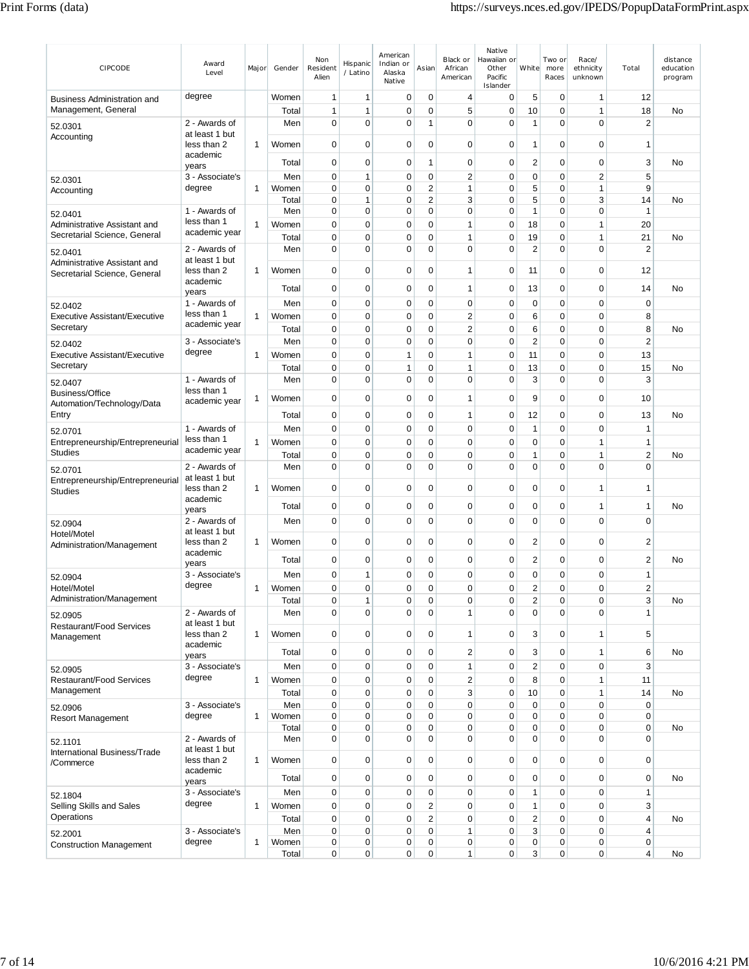| CIPCODE                                            | Award<br>Level                  | Major        | Gender         | Non<br>Resident<br>Alien   | Hispanic<br>/ Latino        | American<br>Indian or<br>Alaska<br>Native | Asian                         | Black or<br>African<br>American | Native<br>Hawaiian or<br>Other<br>Pacific<br>Islander | White            | Two or<br>more<br>Races  | Race/<br>ethnicity<br>unknown  | Total                   | distance<br>education<br>program |
|----------------------------------------------------|---------------------------------|--------------|----------------|----------------------------|-----------------------------|-------------------------------------------|-------------------------------|---------------------------------|-------------------------------------------------------|------------------|--------------------------|--------------------------------|-------------------------|----------------------------------|
| Business Administration and                        | degree                          |              | Women          | $\mathbf{1}$               | 1                           | 0                                         | 0                             | 4                               | 0                                                     | 5                | $\mathbf 0$              | 1                              | 12                      |                                  |
| Management, General                                |                                 |              | Total          | 1                          | 1                           | 0                                         | 0                             | 5                               | 0                                                     | 10               | $\mathbf 0$              | 1                              | 18                      | No                               |
| 52.0301                                            | 2 - Awards of                   |              | Men            | $\mathbf 0$                | $\mathbf 0$                 | $\mathbf 0$                               | 1                             | $\mathbf 0$                     | $\mathbf 0$                                           | 1                | $\mathbf 0$              | $\mathbf 0$                    | $\overline{2}$          |                                  |
| Accounting                                         | at least 1 but<br>less than 2   | 1            | Women          | 0                          | 0                           | 0                                         | $\mathbf 0$                   | 0                               | 0                                                     | 1                | $\mathbf 0$              | 0                              | $\mathbf 1$             |                                  |
|                                                    | academic<br>years               |              | Total          | $\mathbf 0$                | $\mathbf 0$                 | 0                                         | 1                             | 0                               | 0                                                     | $\overline{c}$   | $\mathbf 0$              | 0                              | 3                       | No                               |
| 52.0301                                            | 3 - Associate's                 |              | Men            | $\mathbf 0$<br>$\mathbf 0$ | $\mathbf{1}$<br>$\mathbf 0$ | $\mathbf 0$<br>0                          | $\mathbf 0$<br>$\overline{2}$ | $\overline{2}$<br>$\mathbf{1}$  | 0<br>0                                                | $\mathbf 0$<br>5 | $\mathbf 0$<br>$\pmb{0}$ | $\overline{2}$<br>$\mathbf{1}$ | 5<br>9                  |                                  |
| Accounting                                         | degree                          | 1            | Women<br>Total | 0                          | 1                           | $\mathbf 0$                               | $\overline{2}$                | 3                               | 0                                                     | 5                | $\mathbf 0$              | 3                              | 14                      | No                               |
| 52.0401                                            | 1 - Awards of                   |              | Men            | $\mathbf 0$                | $\mathbf 0$                 | $\mathbf 0$                               | $\mathbf 0$                   | $\mathbf 0$                     | $\mathbf 0$                                           | $\mathbf{1}$     | $\mathbf 0$              | $\mathbf 0$                    | $\mathbf{1}$            |                                  |
| Administrative Assistant and                       | less than 1                     | $\mathbf{1}$ | Women          | $\mathbf 0$                | $\mathbf 0$                 | $\mathbf 0$                               | $\mathbf 0$                   | 1                               | 0                                                     | 18               | $\mathbf 0$              | 1                              | 20                      |                                  |
| Secretarial Science, General                       | academic year                   |              | Total          | 0                          | $\mathbf 0$                 | $\mathbf 0$                               | $\mathbf 0$                   | 1                               | $\mathbf 0$                                           | 19               | $\mathbf 0$              | 1                              | 21                      | <b>No</b>                        |
| 52.0401                                            | 2 - Awards of                   |              | Men            | $\mathbf 0$                | $\mathbf 0$                 | $\mathbf 0$                               | $\mathbf 0$                   | $\mathbf 0$                     | 0                                                     | $\overline{2}$   | $\mathbf 0$              | $\mathbf 0$                    | $\overline{2}$          |                                  |
| Administrative Assistant and                       | at least 1 but                  |              |                |                            |                             |                                           |                               |                                 |                                                       |                  |                          |                                |                         |                                  |
| Secretarial Science, General                       | less than 2<br>academic         | 1            | Women          | $\mathbf 0$                | $\mathbf 0$                 | 0                                         | 0                             | 1                               | 0                                                     | 11               | $\mathbf 0$              | 0                              | 12                      |                                  |
|                                                    | years                           |              | Total          | $\mathbf 0$                | $\mathbf 0$                 | $\mathbf 0$                               | $\mathbf 0$                   | 1                               | 0                                                     | 13               | $\mathbf 0$              | $\mathbf 0$                    | 14                      | No                               |
| 52.0402                                            | 1 - Awards of                   |              | Men            | $\mathbf 0$                | $\mathbf 0$                 | 0                                         | $\mathbf 0$                   | 0                               | $\mathbf 0$                                           | $\mathbf 0$      | $\mathbf 0$              | 0                              | $\mathbf 0$             |                                  |
| Executive Assistant/Executive                      | less than 1                     | 1            | Women          | $\mathbf 0$                | $\mathbf 0$                 | 0                                         | $\mathbf 0$                   | $\overline{2}$                  | 0                                                     | 6                | $\mathbf 0$              | $\mathbf 0$                    | 8                       |                                  |
| Secretary                                          | academic year                   |              | Total          | $\mathbf 0$                | 0                           | 0                                         | 0                             | $\overline{c}$                  | 0                                                     | 6                | $\mathbf 0$              | $\mathbf 0$                    | 8                       | No.                              |
| 52.0402                                            | 3 - Associate's                 |              | Men            | 0                          | $\mathbf 0$                 | 0                                         | $\mathbf 0$                   | 0                               | $\mathbf 0$                                           | $\overline{2}$   | $\mathbf 0$              | 0                              | $\overline{2}$          |                                  |
| Executive Assistant/Executive                      | degree                          | $\mathbf{1}$ | Women          | $\mathbf 0$                | $\mathbf 0$                 | 1                                         | $\mathbf 0$                   | 1                               | $\mathbf 0$                                           | 11               | $\mathbf 0$              | $\mathbf 0$                    | 13                      |                                  |
| Secretary                                          |                                 |              | Total          | $\mathbf 0$                | $\mathbf 0$                 | 1                                         | $\mathbf 0$                   | 1                               | 0                                                     | 13               | $\mathbf 0$              | $\mathbf 0$                    | 15                      | <b>No</b>                        |
| 52.0407                                            | 1 - Awards of                   |              | Men            | $\mathbf 0$                | $\mathbf 0$                 | $\mathbf 0$                               | $\mathbf 0$                   | $\mathbf 0$                     | $\mathbf 0$                                           | 3                | $\mathbf 0$              | $\mathbf 0$                    | 3                       |                                  |
| Business/Office                                    | less than 1<br>academic year    | 1            | Women          | $\mathbf 0$                | $\overline{0}$              | $\mathbf 0$                               | $\mathbf 0$                   | 1                               | $\mathbf 0$                                           | 9                | $\mathbf 0$              | $\mathbf 0$                    | 10                      |                                  |
| Automation/Technology/Data<br>Entry                |                                 |              | Total          | 0                          | 0                           | 0                                         | 0                             | 1                               | 0                                                     | 12               | $\mathbf 0$              | 0                              | 13                      | No                               |
| 52.0701                                            | 1 - Awards of                   |              | Men            | 0                          | $\mathbf 0$                 | 0                                         | $\mathbf 0$                   | 0                               | 0                                                     | $\mathbf{1}$     | $\mathbf 0$              | $\Omega$                       | $\mathbf{1}$            |                                  |
| Entrepreneurship/Entrepreneurial                   | less than 1                     | $\mathbf{1}$ | Women          | $\mathbf 0$                | $\mathbf 0$                 | 0                                         | 0                             | 0                               | 0                                                     | 0                | $\mathbf 0$              | 1                              | $\mathbf{1}$            |                                  |
| <b>Studies</b>                                     | academic year                   |              | Total          | 0                          | $\mathbf 0$                 | 0                                         | 0                             | 0                               | 0                                                     | 1                | $\mathbf 0$              | 1                              | $\overline{\mathbf{c}}$ | No                               |
| 52.0701                                            | 2 - Awards of                   |              | Men            | $\mathbf 0$                | $\overline{0}$              | 0                                         | $\mathbf 0$                   | $\mathbf 0$                     | $\overline{0}$                                        | 0                | $\mathbf 0$              | $\Omega$                       | $\mathbf 0$             |                                  |
| Entrepreneurship/Entrepreneurial<br><b>Studies</b> | at least 1 but<br>less than 2   | 1            | Women          | $\mathbf 0$                | $\mathbf 0$                 | 0                                         | 0                             | 0                               | 0                                                     | 0                | $\mathbf 0$              | 1                              | 1                       |                                  |
|                                                    | academic<br>years               |              | Total          | 0                          | $\mathbf 0$                 | 0                                         | 0                             | 0                               | 0                                                     | 0                | $\mathbf 0$              | 1                              | $\overline{1}$          | No                               |
| 52.0904                                            | 2 - Awards of                   |              | Men            | $\mathbf 0$                | $\mathbf 0$                 | $\mathbf 0$                               | $\mathbf 0$                   | $\mathbf 0$                     | $\mathbf 0$                                           | $\mathbf 0$      | $\mathbf 0$              | $\Omega$                       | $\mathbf 0$             |                                  |
| Hotel/Motel                                        | at least 1 but                  |              |                |                            |                             |                                           |                               |                                 |                                                       |                  |                          |                                |                         |                                  |
| Administration/Management                          | less than 2<br>academic         | 1            | Women          | $\mathbf 0$                | $\mathbf 0$                 | 0                                         | $\mathbf 0$                   | $\mathbf 0$                     | $\mathbf 0$                                           | 2                | $\mathbf 0$              | 0                              | $\overline{2}$          |                                  |
|                                                    | years                           |              | Total          | 0                          | $\mathbf 0$                 | 0                                         | 0                             | 0                               | 0                                                     | 2                | 0                        | 0                              | $\overline{2}$          | No                               |
| 52.0904                                            | 3 - Associate's                 |              | Men            | 0                          | 1                           | 0                                         | $\mathbf 0$                   | 0                               | 0                                                     | 0                | 0                        | 0                              | 1                       |                                  |
| Hotel/Motel                                        | degree                          | $\mathbf{1}$ | Women          | 0                          | $\mathbf 0$                 | 0                                         | $\Omega$                      | $\Omega$                        | 0                                                     | $\overline{2}$   | $\mathbf 0$              | $\Omega$                       | $\overline{2}$          |                                  |
| Administration/Management                          |                                 |              | Total          | 0                          | 1                           | 0                                         | 0                             | 0                               | 0                                                     | $\mathbf 2$      | 0                        | 0                              | 3                       | No                               |
| 52.0905                                            | 2 - Awards of<br>at least 1 but |              | Men            | $\mathbf 0$                | $\mathbf 0$                 | 0                                         | $\mathbf 0$                   | 1                               | $\mathbf 0$                                           | $\mathbf 0$      | $\mathbf 0$              | 0                              | 1                       |                                  |
| <b>Restaurant/Food Services</b><br>Management      | less than 2                     | $\mathbf{1}$ | Women          | $\mathbf 0$                | $\overline{0}$              | 0                                         | $\mathbf 0$                   | $\mathbf{1}$                    | $\mathbf 0$                                           | 3                | $\mathbf 0$              | $\mathbf{1}$                   | 5                       |                                  |
|                                                    | academic<br>years               |              | Total          | 0                          | $\mathbf 0$                 | 0                                         | 0                             | $\overline{c}$                  | 0                                                     | 3                | 0                        | 1                              | 6                       | <b>No</b>                        |
| 52.0905                                            | 3 - Associate's                 |              | Men            | $\mathbf 0$                | $\mathbf 0$                 | 0                                         | $\mathbf 0$                   | $\mathbf{1}$                    | $\mathbf 0$                                           | $\mathbf 2$      | 0                        | 0                              | 3                       |                                  |
| Restaurant/Food Services                           | degree                          | $\mathbf{1}$ | Women          | $\mathbf 0$                | $\mathbf 0$                 | 0                                         | $\mathbf 0$                   | $\overline{\mathbf{c}}$         | $\mathbf 0$                                           | 8                | $\pmb{0}$                | $\mathbf{1}$                   | 11                      |                                  |
| Management                                         |                                 |              | Total          | $\mathbf 0$                | $\overline{0}$              | 0                                         | $\mathbf 0$                   | 3                               | 0                                                     | 10               | 0                        | $\mathbf{1}$                   | 14                      | No                               |
| 52.0906                                            | 3 - Associate's                 |              | Men            | $\mathbf 0$                | $\mathbf 0$                 | 0                                         | 0                             | 0                               | 0                                                     | 0                | $\pmb{0}$                | 0                              | $\mathbf 0$             |                                  |
| <b>Resort Management</b>                           | degree                          | $\mathbf{1}$ | Women          | $\mathbf 0$                | $\mathbf 0$                 | 0                                         | 0                             | $\mathbf 0$                     | 0                                                     | $\mathbf 0$      | 0                        | 0                              | $\mathbf 0$             |                                  |
|                                                    |                                 |              | Total          | $\mathbf 0$                | $\mathbf 0$                 | 0                                         | 0                             | $\mathbf 0$                     | $\mathbf 0$                                           | 0                | $\pmb{0}$                | 0                              | $\mathbf 0$             | No                               |
| 52.1101                                            | 2 - Awards of<br>at least 1 but |              | Men            | $\mathbf 0$                | $\mathbf 0$                 | 0                                         | $\mathbf 0$                   | $\mathbf 0$                     | 0                                                     | $\mathbf 0$      | $\mathbf 0$              | $\Omega$                       | $\mathbf 0$             |                                  |
| International Business/Trade<br>/Commerce          | less than 2                     | $\mathbf{1}$ | Women          | $\mathbf 0$                | $\mathbf 0$                 | 0                                         | 0                             | 0                               | $\mathbf 0$                                           | $\mathbf 0$      | $\pmb{0}$                | 0                              | $\mathbf 0$             |                                  |
|                                                    | academic<br>years               |              | Total          | $\mathbf 0$                | $\mathbf 0$                 | 0                                         | 0                             | 0                               | $\mathbf 0$                                           | 0                | $\pmb{0}$                | 0                              | $\mathbf 0$             | No                               |
| 52.1804                                            | 3 - Associate's                 |              | Men            | $\pmb{0}$                  | $\mathbf 0$                 | 0                                         | $\pmb{0}$                     | 0                               | $\mathbf 0$                                           | $\mathbf{1}$     | $\pmb{0}$                | $\mathbf 0$                    | $\mathbf{1}$            |                                  |
| Selling Skills and Sales                           | degree                          | $\mathbf{1}$ | Women          | 0                          | $\mathbf 0$                 | 0                                         | $\overline{2}$                | $\mathbf 0$                     | $\mathbf 0$                                           | 1                | $\pmb{0}$                | $\mathbf 0$                    | 3                       |                                  |
| Operations                                         |                                 |              | Total          | $\mathbf 0$                | $\mathbf 0$                 | $\mathbf 0$                               | $\overline{2}$                | $\mathbf 0$                     | 0                                                     | $\overline{2}$   | 0                        | 0                              | $\overline{4}$          | No                               |
| 52.2001                                            | 3 - Associate's                 |              | Men            | 0                          | $\mathbf 0$                 | 0                                         | $\mathbf 0$                   | $\mathbf{1}$                    | 0                                                     | 3                | $\pmb{0}$                | 0                              | $\overline{4}$          |                                  |
| <b>Construction Management</b>                     | degree                          | $\mathbf{1}$ | Women          | 0                          | 0                           | 0                                         | 0                             | 0                               | 0                                                     | 0                | $\pmb{0}$                | 0                              | $\mathbf 0$             |                                  |
|                                                    |                                 |              | Total          | $\overline{0}$             | 0                           | 0                                         | $\mathbf 0$                   | $\mathbf{1}$                    | 0                                                     | 3                | $\mathbf 0$              | 0                              | 4                       | No                               |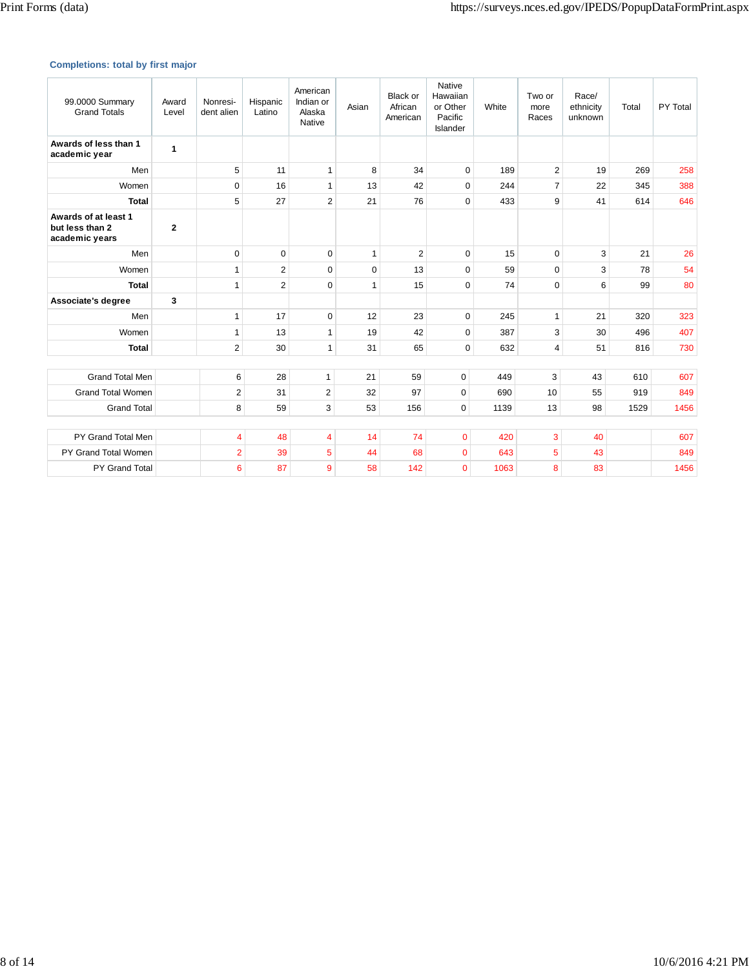## **Completions: total by first major**

| 99.0000 Summary<br><b>Grand Totals</b>                    | Award<br>Level | Nonresi-<br>dent alien | Hispanic<br>Latino | American<br>Indian or<br>Alaska<br>Native | Asian        | Black or<br>African<br>American | Native<br>Hawaiian<br>or Other<br>Pacific<br>Islander | White | Two or<br>more<br>Races | Race/<br>ethnicity<br>unknown | Total | PY Total |
|-----------------------------------------------------------|----------------|------------------------|--------------------|-------------------------------------------|--------------|---------------------------------|-------------------------------------------------------|-------|-------------------------|-------------------------------|-------|----------|
| Awards of less than 1<br>academic year                    | 1              |                        |                    |                                           |              |                                 |                                                       |       |                         |                               |       |          |
| Men                                                       |                | 5                      | 11                 | $\mathbf{1}$                              | 8            | 34                              | 0                                                     | 189   | $\overline{2}$          | 19                            | 269   | 258      |
| Women                                                     |                | $\Omega$               | 16                 | $\mathbf{1}$                              | 13           | 42                              | $\mathbf 0$                                           | 244   | $\overline{7}$          | 22                            | 345   | 388      |
| <b>Total</b>                                              |                | 5                      | 27                 | $\overline{2}$                            | 21           | 76                              | $\mathbf 0$                                           | 433   | 9                       | 41                            | 614   | 646      |
| Awards of at least 1<br>but less than 2<br>academic years | $\mathbf{2}$   |                        |                    |                                           |              |                                 |                                                       |       |                         |                               |       |          |
| Men                                                       |                | $\Omega$               | $\Omega$           | $\Omega$                                  | $\mathbf{1}$ | $\overline{2}$                  | $\mathbf 0$                                           | 15    | $\Omega$                | 3                             | 21    | 26       |
| Women                                                     |                | 1                      | $\overline{2}$     | $\Omega$                                  | $\Omega$     | 13                              | $\mathbf 0$                                           | 59    | $\Omega$                | 3                             | 78    | 54       |
| <b>Total</b>                                              |                | 1                      | $\overline{2}$     | $\Omega$                                  | $\mathbf{1}$ | 15                              | $\Omega$                                              | 74    | $\Omega$                | 6                             | 99    | 80       |
| Associate's degree                                        | 3              |                        |                    |                                           |              |                                 |                                                       |       |                         |                               |       |          |
| Men                                                       |                | 1                      | 17                 | $\mathbf 0$                               | 12           | 23                              | 0                                                     | 245   | $\mathbf{1}$            | 21                            | 320   | 323      |
| Women                                                     |                | 1                      | 13                 | $\mathbf{1}$                              | 19           | 42                              | $\mathbf 0$                                           | 387   | 3                       | 30                            | 496   | 407      |
| <b>Total</b>                                              |                | $\overline{2}$         | 30                 | $\mathbf{1}$                              | 31           | 65                              | $\mathbf 0$                                           | 632   | $\overline{4}$          | 51                            | 816   | 730      |
|                                                           |                |                        |                    |                                           |              |                                 |                                                       |       |                         |                               |       |          |
| <b>Grand Total Men</b>                                    |                | 6                      | 28                 | $\mathbf{1}$                              | 21           | 59                              | $\mathbf 0$                                           | 449   | 3                       | 43                            | 610   | 607      |
| <b>Grand Total Women</b>                                  |                | $\overline{2}$         | 31                 | $\overline{2}$                            | 32           | 97                              | $\mathbf 0$                                           | 690   | 10                      | 55                            | 919   | 849      |
| <b>Grand Total</b>                                        |                | 8                      | 59                 | 3                                         | 53           | 156                             | $\mathbf 0$                                           | 1139  | 13                      | 98                            | 1529  | 1456     |
|                                                           |                |                        |                    |                                           |              |                                 |                                                       |       |                         |                               |       |          |
| PY Grand Total Men                                        |                | 4                      | 48                 | $\overline{4}$                            | 14           | 74                              | 0                                                     | 420   | 3                       | 40                            |       | 607      |
| PY Grand Total Women                                      |                | $\overline{2}$         | 39                 | $\overline{5}$                            | 44           | 68                              | $\overline{0}$                                        | 643   | 5                       | 43                            |       | 849      |
| <b>PY Grand Total</b>                                     |                | 6                      | 87                 | $\overline{9}$                            | 58           | 142                             | 0                                                     | 1063  | 8                       | 83                            |       | 1456     |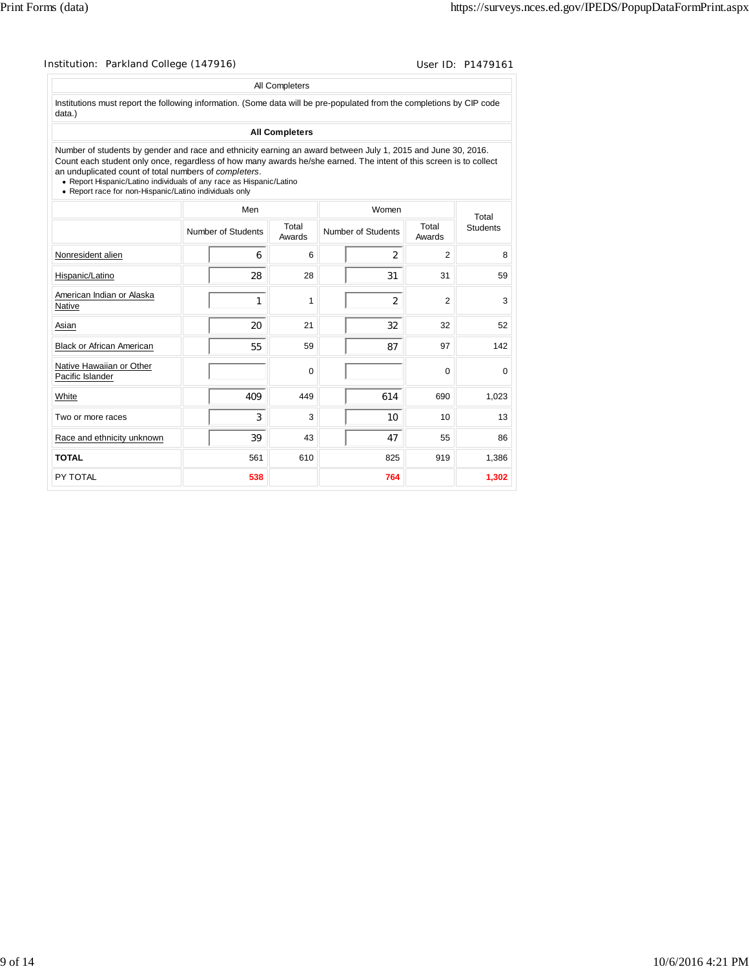|                                                                                                                                                                                                                                                                                                                                                                                                                              |                    | All Completers        |                    |                 |                 |
|------------------------------------------------------------------------------------------------------------------------------------------------------------------------------------------------------------------------------------------------------------------------------------------------------------------------------------------------------------------------------------------------------------------------------|--------------------|-----------------------|--------------------|-----------------|-----------------|
| Institutions must report the following information. (Some data will be pre-populated from the completions by CIP code<br>data.)                                                                                                                                                                                                                                                                                              |                    |                       |                    |                 |                 |
|                                                                                                                                                                                                                                                                                                                                                                                                                              |                    | <b>All Completers</b> |                    |                 |                 |
| Number of students by gender and race and ethnicity earning an award between July 1, 2015 and June 30, 2016.<br>Count each student only once, regardless of how many awards he/she earned. The intent of this screen is to collect<br>an unduplicated count of total numbers of completers.<br>• Report Hispanic/Latino individuals of any race as Hispanic/Latino<br>• Report race for non-Hispanic/Latino individuals only |                    |                       |                    |                 |                 |
|                                                                                                                                                                                                                                                                                                                                                                                                                              | Men                |                       | Women              |                 | Total           |
|                                                                                                                                                                                                                                                                                                                                                                                                                              | Number of Students | Total<br>Awards       | Number of Students | Total<br>Awards | <b>Students</b> |
| Nonresident alien                                                                                                                                                                                                                                                                                                                                                                                                            | 6                  | 6                     | $\overline{2}$     | $\overline{2}$  |                 |
| Hispanic/Latino                                                                                                                                                                                                                                                                                                                                                                                                              | 28                 | 28                    | 31                 | 31              |                 |
| American Indian or Alaska<br>Native                                                                                                                                                                                                                                                                                                                                                                                          | 1                  | 1                     | 2                  | $\mathfrak{p}$  |                 |
| Asian                                                                                                                                                                                                                                                                                                                                                                                                                        | 20                 | 21                    | 32                 | 32              |                 |
| <b>Black or African American</b>                                                                                                                                                                                                                                                                                                                                                                                             | 55                 | 59                    | 87                 | 97              | 142             |
| Native Hawaiian or Other<br>Pacific Islander                                                                                                                                                                                                                                                                                                                                                                                 |                    | $\Omega$              |                    | $\Omega$        |                 |
| White                                                                                                                                                                                                                                                                                                                                                                                                                        | 409                | 449                   | 614                | 690             | 1,023           |
| Two or more races                                                                                                                                                                                                                                                                                                                                                                                                            | 3                  | 3                     | 10 <sup>10</sup>   | 10              |                 |
| Race and ethnicity unknown                                                                                                                                                                                                                                                                                                                                                                                                   | 39                 | 43                    | 47                 | 55              |                 |
| <b>TOTAL</b>                                                                                                                                                                                                                                                                                                                                                                                                                 | 561                | 610                   | 825                | 919             | 1,386           |
| PY TOTAL                                                                                                                                                                                                                                                                                                                                                                                                                     | 538                |                       | 764                |                 | 1,302           |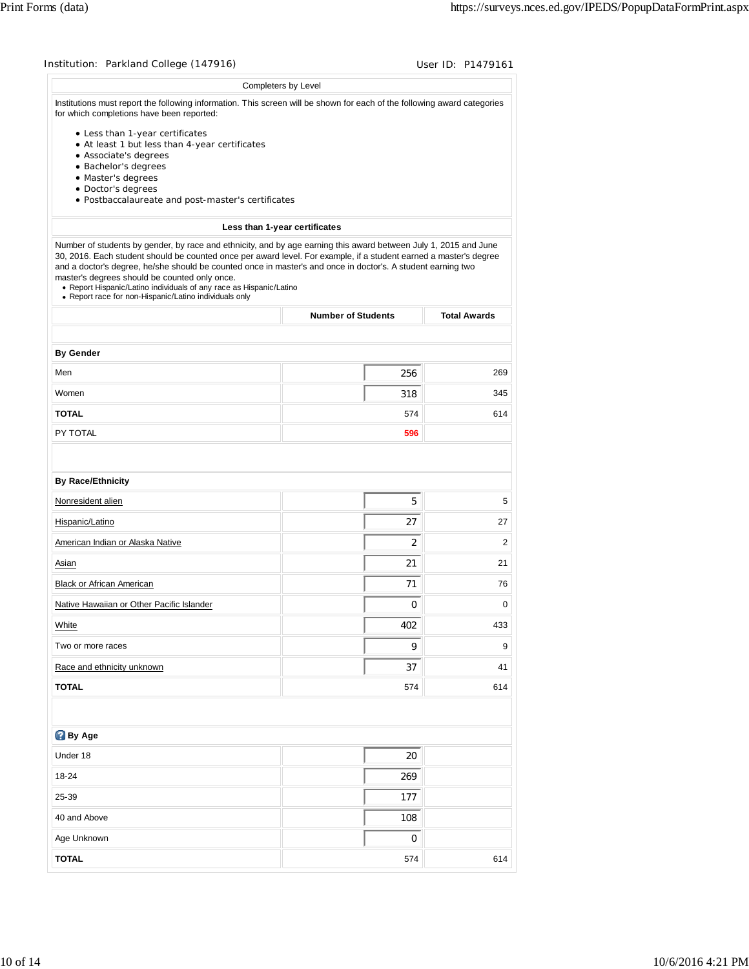|                                                                                                                                                                                                                                                                                                                                                                                                                                                                                                                                         | Completers by Level           |                     |
|-----------------------------------------------------------------------------------------------------------------------------------------------------------------------------------------------------------------------------------------------------------------------------------------------------------------------------------------------------------------------------------------------------------------------------------------------------------------------------------------------------------------------------------------|-------------------------------|---------------------|
| Institutions must report the following information. This screen will be shown for each of the following award categories<br>for which completions have been reported:                                                                                                                                                                                                                                                                                                                                                                   |                               |                     |
| • Less than 1-year certificates<br>• At least 1 but less than 4-year certificates<br>• Associate's degrees<br>· Bachelor's degrees                                                                                                                                                                                                                                                                                                                                                                                                      |                               |                     |
| · Master's degrees<br>• Doctor's degrees<br>· Postbaccalaureate and post-master's certificates                                                                                                                                                                                                                                                                                                                                                                                                                                          |                               |                     |
|                                                                                                                                                                                                                                                                                                                                                                                                                                                                                                                                         | Less than 1-year certificates |                     |
| Number of students by gender, by race and ethnicity, and by age earning this award between July 1, 2015 and June<br>30, 2016. Each student should be counted once per award level. For example, if a student earned a master's degree<br>and a doctor's degree, he/she should be counted once in master's and once in doctor's. A student earning two<br>master's degrees should be counted only once.<br>• Report Hispanic/Latino individuals of any race as Hispanic/Latino<br>• Report race for non-Hispanic/Latino individuals only |                               |                     |
|                                                                                                                                                                                                                                                                                                                                                                                                                                                                                                                                         | <b>Number of Students</b>     | <b>Total Awards</b> |
| <b>By Gender</b>                                                                                                                                                                                                                                                                                                                                                                                                                                                                                                                        |                               |                     |
| Men                                                                                                                                                                                                                                                                                                                                                                                                                                                                                                                                     | 256                           | 269                 |
| Women                                                                                                                                                                                                                                                                                                                                                                                                                                                                                                                                   | 318                           | 345                 |
| <b>TOTAL</b>                                                                                                                                                                                                                                                                                                                                                                                                                                                                                                                            | 574                           | 614                 |
| PY TOTAL                                                                                                                                                                                                                                                                                                                                                                                                                                                                                                                                | 596                           |                     |
| <b>By Race/Ethnicity</b><br>Nonresident alien                                                                                                                                                                                                                                                                                                                                                                                                                                                                                           | 5                             | 5                   |
| Hispanic/Latino                                                                                                                                                                                                                                                                                                                                                                                                                                                                                                                         | 27                            | 27                  |
| American Indian or Alaska Native                                                                                                                                                                                                                                                                                                                                                                                                                                                                                                        | $\overline{2}$                | 2                   |
| Asian                                                                                                                                                                                                                                                                                                                                                                                                                                                                                                                                   | 21                            | 21                  |
| <b>Black or African American</b>                                                                                                                                                                                                                                                                                                                                                                                                                                                                                                        | 71                            | 76                  |
| Native Hawaiian or Other Pacific Islander                                                                                                                                                                                                                                                                                                                                                                                                                                                                                               | $\pmb{0}$                     | 0                   |
| White                                                                                                                                                                                                                                                                                                                                                                                                                                                                                                                                   | 402                           | 433                 |
| Two or more races                                                                                                                                                                                                                                                                                                                                                                                                                                                                                                                       | 9                             | 9                   |
| Race and ethnicity unknown                                                                                                                                                                                                                                                                                                                                                                                                                                                                                                              | 37                            | 41                  |
| <b>TOTAL</b>                                                                                                                                                                                                                                                                                                                                                                                                                                                                                                                            | 574                           | 614                 |
|                                                                                                                                                                                                                                                                                                                                                                                                                                                                                                                                         |                               |                     |
| By Age                                                                                                                                                                                                                                                                                                                                                                                                                                                                                                                                  |                               |                     |
| Under 18                                                                                                                                                                                                                                                                                                                                                                                                                                                                                                                                | 20                            |                     |
| 18-24                                                                                                                                                                                                                                                                                                                                                                                                                                                                                                                                   | 269                           |                     |
| 25-39                                                                                                                                                                                                                                                                                                                                                                                                                                                                                                                                   | 177                           |                     |
| 40 and Above                                                                                                                                                                                                                                                                                                                                                                                                                                                                                                                            | 108                           |                     |
|                                                                                                                                                                                                                                                                                                                                                                                                                                                                                                                                         |                               |                     |
| Age Unknown                                                                                                                                                                                                                                                                                                                                                                                                                                                                                                                             | 0                             |                     |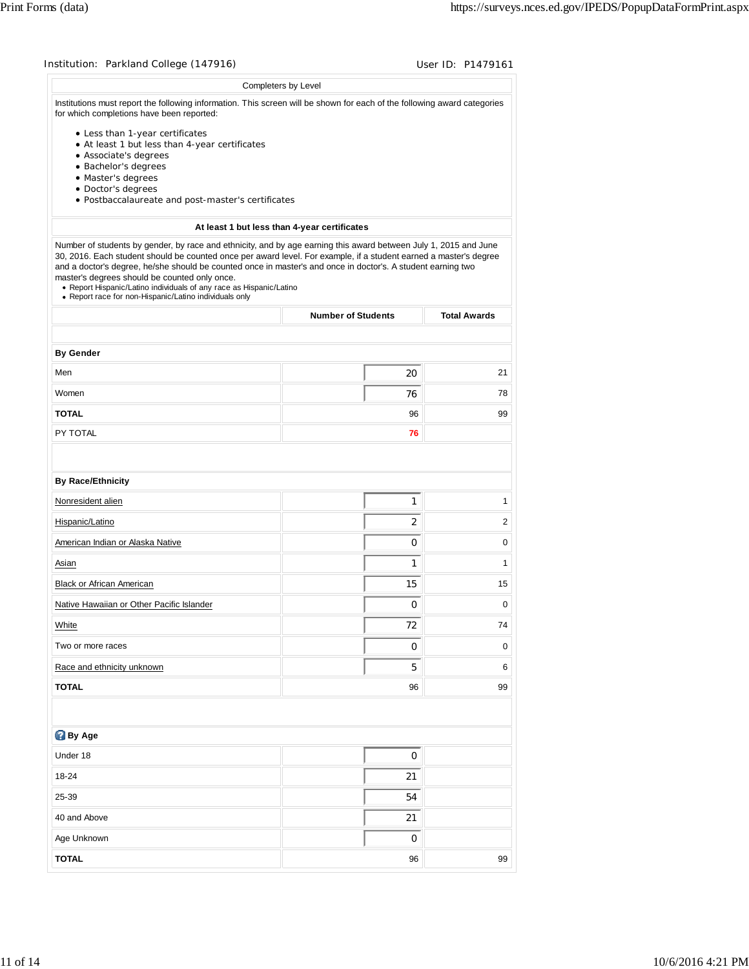|                                                                                                                                                                                                                                                                                                                                                                                                                                                                                                                                         | Completers by Level                          |                     |
|-----------------------------------------------------------------------------------------------------------------------------------------------------------------------------------------------------------------------------------------------------------------------------------------------------------------------------------------------------------------------------------------------------------------------------------------------------------------------------------------------------------------------------------------|----------------------------------------------|---------------------|
| Institutions must report the following information. This screen will be shown for each of the following award categories                                                                                                                                                                                                                                                                                                                                                                                                                |                                              |                     |
| for which completions have been reported:                                                                                                                                                                                                                                                                                                                                                                                                                                                                                               |                                              |                     |
| • Less than 1-year certificates                                                                                                                                                                                                                                                                                                                                                                                                                                                                                                         |                                              |                     |
| • At least 1 but less than 4-year certificates<br>• Associate's degrees                                                                                                                                                                                                                                                                                                                                                                                                                                                                 |                                              |                     |
| · Bachelor's degrees                                                                                                                                                                                                                                                                                                                                                                                                                                                                                                                    |                                              |                     |
| · Master's degrees                                                                                                                                                                                                                                                                                                                                                                                                                                                                                                                      |                                              |                     |
| · Doctor's degrees<br>· Postbaccalaureate and post-master's certificates                                                                                                                                                                                                                                                                                                                                                                                                                                                                |                                              |                     |
|                                                                                                                                                                                                                                                                                                                                                                                                                                                                                                                                         |                                              |                     |
|                                                                                                                                                                                                                                                                                                                                                                                                                                                                                                                                         | At least 1 but less than 4-year certificates |                     |
| Number of students by gender, by race and ethnicity, and by age earning this award between July 1, 2015 and June<br>30, 2016. Each student should be counted once per award level. For example, if a student earned a master's degree<br>and a doctor's degree, he/she should be counted once in master's and once in doctor's. A student earning two<br>master's degrees should be counted only once.<br>• Report Hispanic/Latino individuals of any race as Hispanic/Latino<br>• Report race for non-Hispanic/Latino individuals only |                                              |                     |
|                                                                                                                                                                                                                                                                                                                                                                                                                                                                                                                                         | <b>Number of Students</b>                    | <b>Total Awards</b> |
|                                                                                                                                                                                                                                                                                                                                                                                                                                                                                                                                         |                                              |                     |
| <b>By Gender</b>                                                                                                                                                                                                                                                                                                                                                                                                                                                                                                                        |                                              |                     |
| Men                                                                                                                                                                                                                                                                                                                                                                                                                                                                                                                                     | 20                                           | 21                  |
| Women                                                                                                                                                                                                                                                                                                                                                                                                                                                                                                                                   | 76                                           | 78                  |
| <b>TOTAL</b>                                                                                                                                                                                                                                                                                                                                                                                                                                                                                                                            | 96                                           | 99                  |
| PY TOTAL                                                                                                                                                                                                                                                                                                                                                                                                                                                                                                                                | 76                                           |                     |
|                                                                                                                                                                                                                                                                                                                                                                                                                                                                                                                                         |                                              |                     |
| <b>By Race/Ethnicity</b>                                                                                                                                                                                                                                                                                                                                                                                                                                                                                                                |                                              |                     |
| Nonresident alien                                                                                                                                                                                                                                                                                                                                                                                                                                                                                                                       | 1                                            | 1                   |
| Hispanic/Latino                                                                                                                                                                                                                                                                                                                                                                                                                                                                                                                         | 2                                            | 2                   |
| American Indian or Alaska Native                                                                                                                                                                                                                                                                                                                                                                                                                                                                                                        | $\mathbf 0$                                  | 0                   |
| Asian                                                                                                                                                                                                                                                                                                                                                                                                                                                                                                                                   | $\mathbf{1}$                                 | $\mathbf{1}$        |
| Black or African American                                                                                                                                                                                                                                                                                                                                                                                                                                                                                                               | 15                                           | 15                  |
| Native Hawaiian or Other Pacific Islander                                                                                                                                                                                                                                                                                                                                                                                                                                                                                               | $\pmb{0}$                                    | 0                   |
| White                                                                                                                                                                                                                                                                                                                                                                                                                                                                                                                                   | 72                                           | 74                  |
| Two or more races                                                                                                                                                                                                                                                                                                                                                                                                                                                                                                                       | 0                                            | 0                   |
| Race and ethnicity unknown                                                                                                                                                                                                                                                                                                                                                                                                                                                                                                              | 5                                            | 6                   |
| <b>TOTAL</b>                                                                                                                                                                                                                                                                                                                                                                                                                                                                                                                            | 96                                           | 99                  |
|                                                                                                                                                                                                                                                                                                                                                                                                                                                                                                                                         |                                              |                     |
| By Age                                                                                                                                                                                                                                                                                                                                                                                                                                                                                                                                  |                                              |                     |
| Under 18                                                                                                                                                                                                                                                                                                                                                                                                                                                                                                                                | 0                                            |                     |
| 18-24                                                                                                                                                                                                                                                                                                                                                                                                                                                                                                                                   | 21                                           |                     |
| 25-39                                                                                                                                                                                                                                                                                                                                                                                                                                                                                                                                   | 54                                           |                     |
| 40 and Above                                                                                                                                                                                                                                                                                                                                                                                                                                                                                                                            | 21                                           |                     |
| Age Unknown                                                                                                                                                                                                                                                                                                                                                                                                                                                                                                                             | 0                                            |                     |
| <b>TOTAL</b>                                                                                                                                                                                                                                                                                                                                                                                                                                                                                                                            | 96                                           | 99                  |
|                                                                                                                                                                                                                                                                                                                                                                                                                                                                                                                                         |                                              |                     |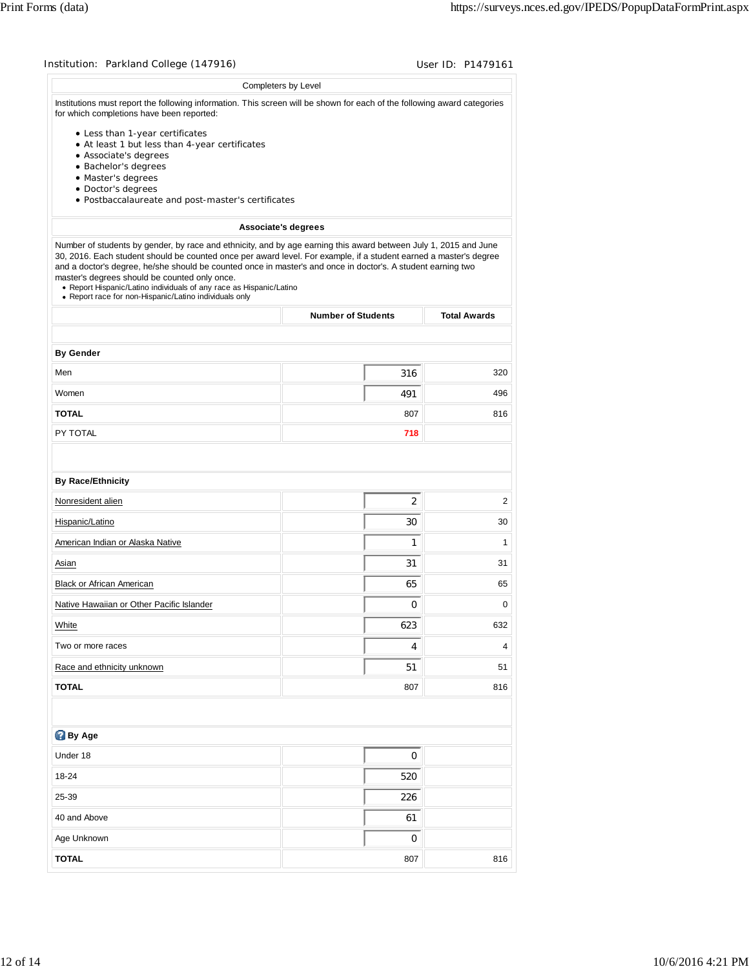|                                                                                                                                                                                                                                                                                                                                                                                                                                                                                                                                         | Completers by Level       |                     |
|-----------------------------------------------------------------------------------------------------------------------------------------------------------------------------------------------------------------------------------------------------------------------------------------------------------------------------------------------------------------------------------------------------------------------------------------------------------------------------------------------------------------------------------------|---------------------------|---------------------|
| Institutions must report the following information. This screen will be shown for each of the following award categories<br>for which completions have been reported:                                                                                                                                                                                                                                                                                                                                                                   |                           |                     |
| • Less than 1-year certificates                                                                                                                                                                                                                                                                                                                                                                                                                                                                                                         |                           |                     |
| • At least 1 but less than 4-year certificates<br>• Associate's degrees                                                                                                                                                                                                                                                                                                                                                                                                                                                                 |                           |                     |
| · Bachelor's degrees                                                                                                                                                                                                                                                                                                                                                                                                                                                                                                                    |                           |                     |
| · Master's degrees                                                                                                                                                                                                                                                                                                                                                                                                                                                                                                                      |                           |                     |
| · Doctor's degrees                                                                                                                                                                                                                                                                                                                                                                                                                                                                                                                      |                           |                     |
| · Postbaccalaureate and post-master's certificates                                                                                                                                                                                                                                                                                                                                                                                                                                                                                      |                           |                     |
|                                                                                                                                                                                                                                                                                                                                                                                                                                                                                                                                         | Associate's degrees       |                     |
| Number of students by gender, by race and ethnicity, and by age earning this award between July 1, 2015 and June<br>30, 2016. Each student should be counted once per award level. For example, if a student earned a master's degree<br>and a doctor's degree, he/she should be counted once in master's and once in doctor's. A student earning two<br>master's degrees should be counted only once.<br>• Report Hispanic/Latino individuals of any race as Hispanic/Latino<br>• Report race for non-Hispanic/Latino individuals only |                           |                     |
|                                                                                                                                                                                                                                                                                                                                                                                                                                                                                                                                         | <b>Number of Students</b> | <b>Total Awards</b> |
|                                                                                                                                                                                                                                                                                                                                                                                                                                                                                                                                         |                           |                     |
| <b>By Gender</b>                                                                                                                                                                                                                                                                                                                                                                                                                                                                                                                        |                           | 320                 |
| Men                                                                                                                                                                                                                                                                                                                                                                                                                                                                                                                                     | 316                       |                     |
| Women                                                                                                                                                                                                                                                                                                                                                                                                                                                                                                                                   | 491                       | 496                 |
| <b>TOTAL</b>                                                                                                                                                                                                                                                                                                                                                                                                                                                                                                                            | 807                       | 816                 |
| PY TOTAL                                                                                                                                                                                                                                                                                                                                                                                                                                                                                                                                | 718                       |                     |
|                                                                                                                                                                                                                                                                                                                                                                                                                                                                                                                                         |                           |                     |
| <b>By Race/Ethnicity</b>                                                                                                                                                                                                                                                                                                                                                                                                                                                                                                                |                           |                     |
| Nonresident alien                                                                                                                                                                                                                                                                                                                                                                                                                                                                                                                       | 2                         | 2                   |
| Hispanic/Latino                                                                                                                                                                                                                                                                                                                                                                                                                                                                                                                         | 30                        | 30                  |
| American Indian or Alaska Native                                                                                                                                                                                                                                                                                                                                                                                                                                                                                                        | 1                         | 1                   |
| Asian                                                                                                                                                                                                                                                                                                                                                                                                                                                                                                                                   | 31                        | 31                  |
| <b>Black or African American</b>                                                                                                                                                                                                                                                                                                                                                                                                                                                                                                        | 65                        | 65                  |
| Native Hawaiian or Other Pacific Islander                                                                                                                                                                                                                                                                                                                                                                                                                                                                                               | 0                         | 0                   |
| White                                                                                                                                                                                                                                                                                                                                                                                                                                                                                                                                   | 623                       | 632                 |
| Two or more races                                                                                                                                                                                                                                                                                                                                                                                                                                                                                                                       | 4                         | 4                   |
| Race and ethnicity unknown                                                                                                                                                                                                                                                                                                                                                                                                                                                                                                              | 51                        | 51                  |
| <b>TOTAL</b>                                                                                                                                                                                                                                                                                                                                                                                                                                                                                                                            | 807                       | 816                 |
|                                                                                                                                                                                                                                                                                                                                                                                                                                                                                                                                         |                           |                     |
| <b>By Age</b>                                                                                                                                                                                                                                                                                                                                                                                                                                                                                                                           |                           |                     |
| Under 18                                                                                                                                                                                                                                                                                                                                                                                                                                                                                                                                | 0                         |                     |
| 18-24                                                                                                                                                                                                                                                                                                                                                                                                                                                                                                                                   | 520                       |                     |
| 25-39                                                                                                                                                                                                                                                                                                                                                                                                                                                                                                                                   | 226                       |                     |
| 40 and Above                                                                                                                                                                                                                                                                                                                                                                                                                                                                                                                            | 61                        |                     |
|                                                                                                                                                                                                                                                                                                                                                                                                                                                                                                                                         |                           |                     |
| Age Unknown                                                                                                                                                                                                                                                                                                                                                                                                                                                                                                                             | 0                         |                     |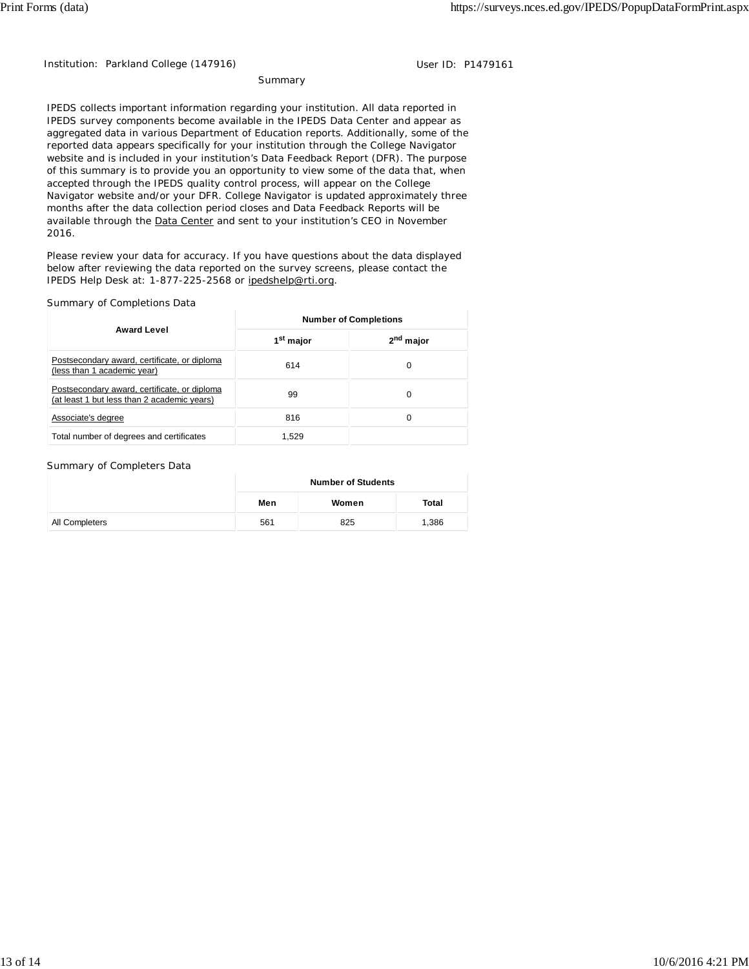Institution: Parkland College (147916) Contract the User ID: P1479161

**Summary** 

IPEDS collects important information regarding your institution. All data reported in IPEDS survey components become available in the IPEDS Data Center and appear as aggregated data in various Department of Education reports. Additionally, some of the reported data appears specifically for your institution through the College Navigator website and is included in your institution's Data Feedback Report (DFR). The purpose of this summary is to provide you an opportunity to view some of the data that, when accepted through the IPEDS quality control process, will appear on the College Navigator website and/or your DFR. College Navigator is updated approximately three months after the data collection period closes and Data Feedback Reports will be available through the Data Center and sent to your institution's CEO in November 2016.

Please review your data for accuracy. If you have questions about the data displayed below after reviewing the data reported on the survey screens, please contact the IPEDS Help Desk at: 1-877-225-2568 or ipedshelp@rti.org.

### Summary of Completions Data

|                                                                                             | <b>Number of Completions</b> |                       |  |
|---------------------------------------------------------------------------------------------|------------------------------|-----------------------|--|
| <b>Award Level</b>                                                                          | 1 <sup>st</sup> major        | 2 <sup>nd</sup> major |  |
| Postsecondary award, certificate, or diploma<br>(less than 1 academic year)                 | 614                          | 0                     |  |
| Postsecondary award, certificate, or diploma<br>(at least 1 but less than 2 academic years) | 99                           | 0                     |  |
| Associate's degree                                                                          | 816                          | 0                     |  |
| Total number of degrees and certificates                                                    | 1.529                        |                       |  |

#### Summary of Completers Data

|                | <b>Number of Students</b> |       |       |  |
|----------------|---------------------------|-------|-------|--|
|                | Men                       | Women | Total |  |
| All Completers | 561                       | 825   | 1,386 |  |